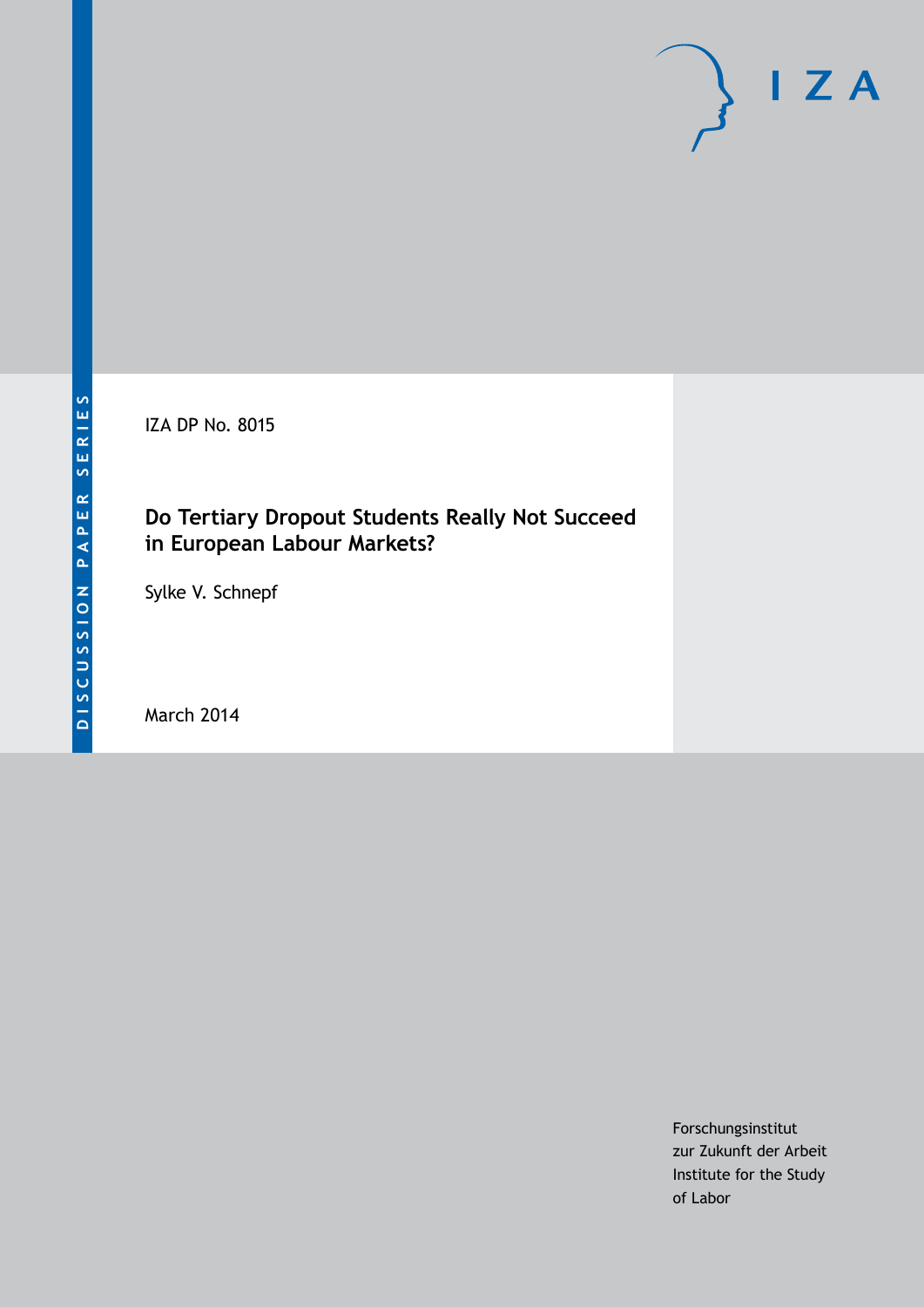IZA DP No. 8015

### **Do Tertiary Dropout Students Really Not Succeed in European Labour Markets?**

Sylke V. Schnepf

March 2014

Forschungsinstitut zur Zukunft der Arbeit Institute for the Study of Labor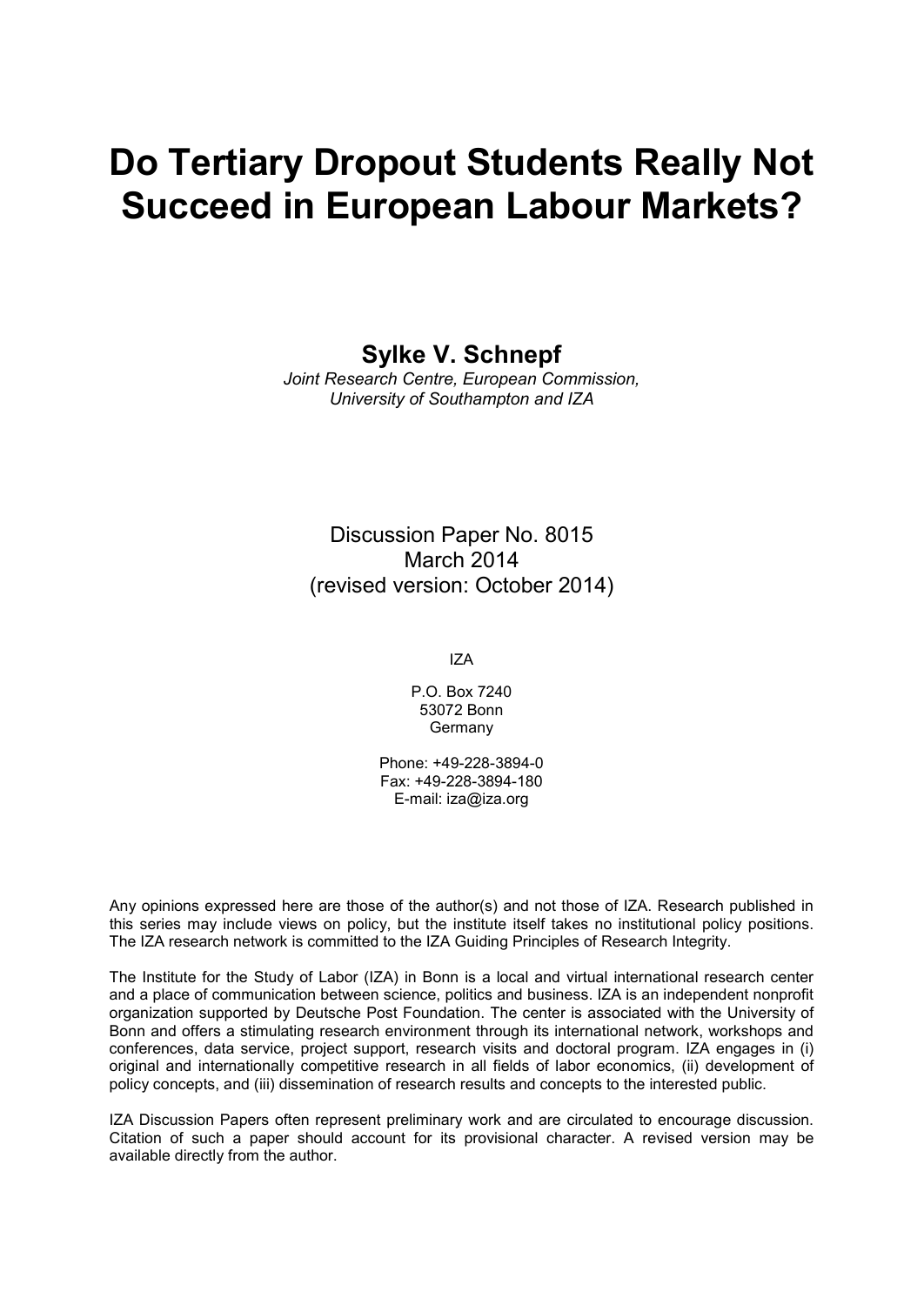# **Do Tertiary Dropout Students Really Not Succeed in European Labour Markets?**

**Sylke V. Schnepf**

*Joint Research Centre, European Commission, University of Southampton and IZA*

Discussion Paper No. 8015 March 2014 (revised version: October 2014)

IZA

P.O. Box 7240 53072 Bonn **Germany** 

Phone: +49-228-3894-0 Fax: +49-228-3894-180 E-mail: [iza@iza.org](mailto:iza@iza.org)

Any opinions expressed here are those of the author(s) and not those of IZA. Research published in this series may include views on policy, but the institute itself takes no institutional policy positions. The IZA research network is committed to the IZA Guiding Principles of Research Integrity.

The Institute for the Study of Labor (IZA) in Bonn is a local and virtual international research center and a place of communication between science, politics and business. IZA is an independent nonprofit organization supported by Deutsche Post Foundation. The center is associated with the University of Bonn and offers a stimulating research environment through its international network, workshops and conferences, data service, project support, research visits and doctoral program. IZA engages in (i) original and internationally competitive research in all fields of labor economics, (ii) development of policy concepts, and (iii) dissemination of research results and concepts to the interested public.

IZA Discussion Papers often represent preliminary work and are circulated to encourage discussion. Citation of such a paper should account for its provisional character. A revised version may be available directly from the author.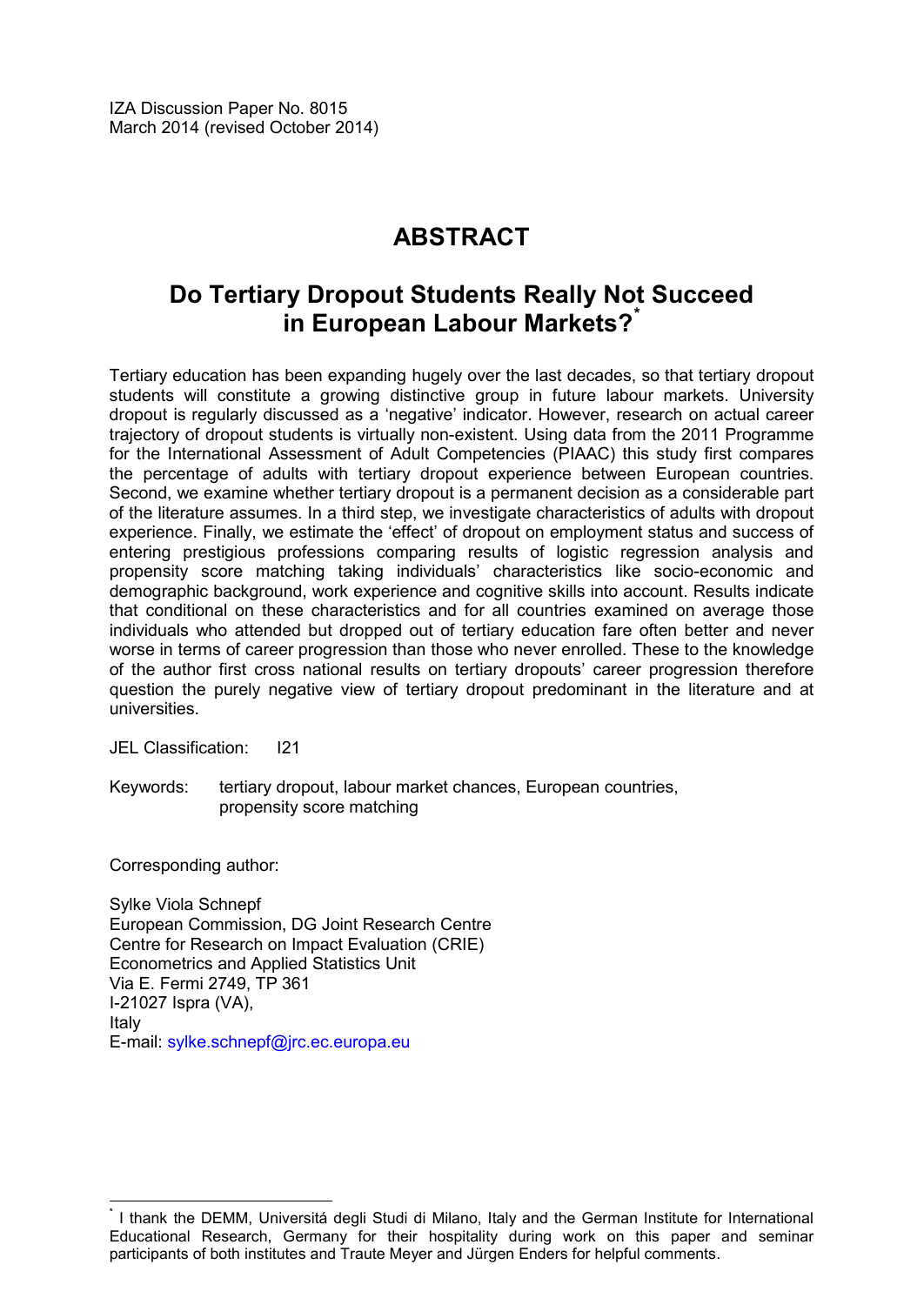# **ABSTRACT**

## **Do Tertiary Dropout Students Really Not Succeed in European Labour Markets?[\\*](#page-2-0)**

Tertiary education has been expanding hugely over the last decades, so that tertiary dropout students will constitute a growing distinctive group in future labour markets. University dropout is regularly discussed as a 'negative' indicator. However, research on actual career trajectory of dropout students is virtually non-existent. Using data from the 2011 Programme for the International Assessment of Adult Competencies (PIAAC) this study first compares the percentage of adults with tertiary dropout experience between European countries. Second, we examine whether tertiary dropout is a permanent decision as a considerable part of the literature assumes. In a third step, we investigate characteristics of adults with dropout experience. Finally, we estimate the 'effect' of dropout on employment status and success of entering prestigious professions comparing results of logistic regression analysis and propensity score matching taking individuals' characteristics like socio-economic and demographic background, work experience and cognitive skills into account. Results indicate that conditional on these characteristics and for all countries examined on average those individuals who attended but dropped out of tertiary education fare often better and never worse in terms of career progression than those who never enrolled. These to the knowledge of the author first cross national results on tertiary dropouts' career progression therefore question the purely negative view of tertiary dropout predominant in the literature and at universities.

JEL Classification: I21

Keywords: tertiary dropout, labour market chances, European countries, propensity score matching

Corresponding author:

Sylke Viola Schnepf European Commission, DG Joint Research Centre Centre for Research on Impact Evaluation (CRIE) Econometrics and Applied Statistics Unit Via E. Fermi 2749, TP 361 I-21027 Ispra (VA), Italy E-mail: [sylke.schnepf@jrc.ec.europa.eu](mailto:sylke.schnepf@jrc.ec.europa.eu)

<span id="page-2-0"></span>\* I thank the DEMM, Universitá degli Studi di Milano, Italy and the German Institute for International Educational Research, Germany for their hospitality during work on this paper and seminar participants of both institutes and Traute Meyer and Jürgen Enders for helpful comments.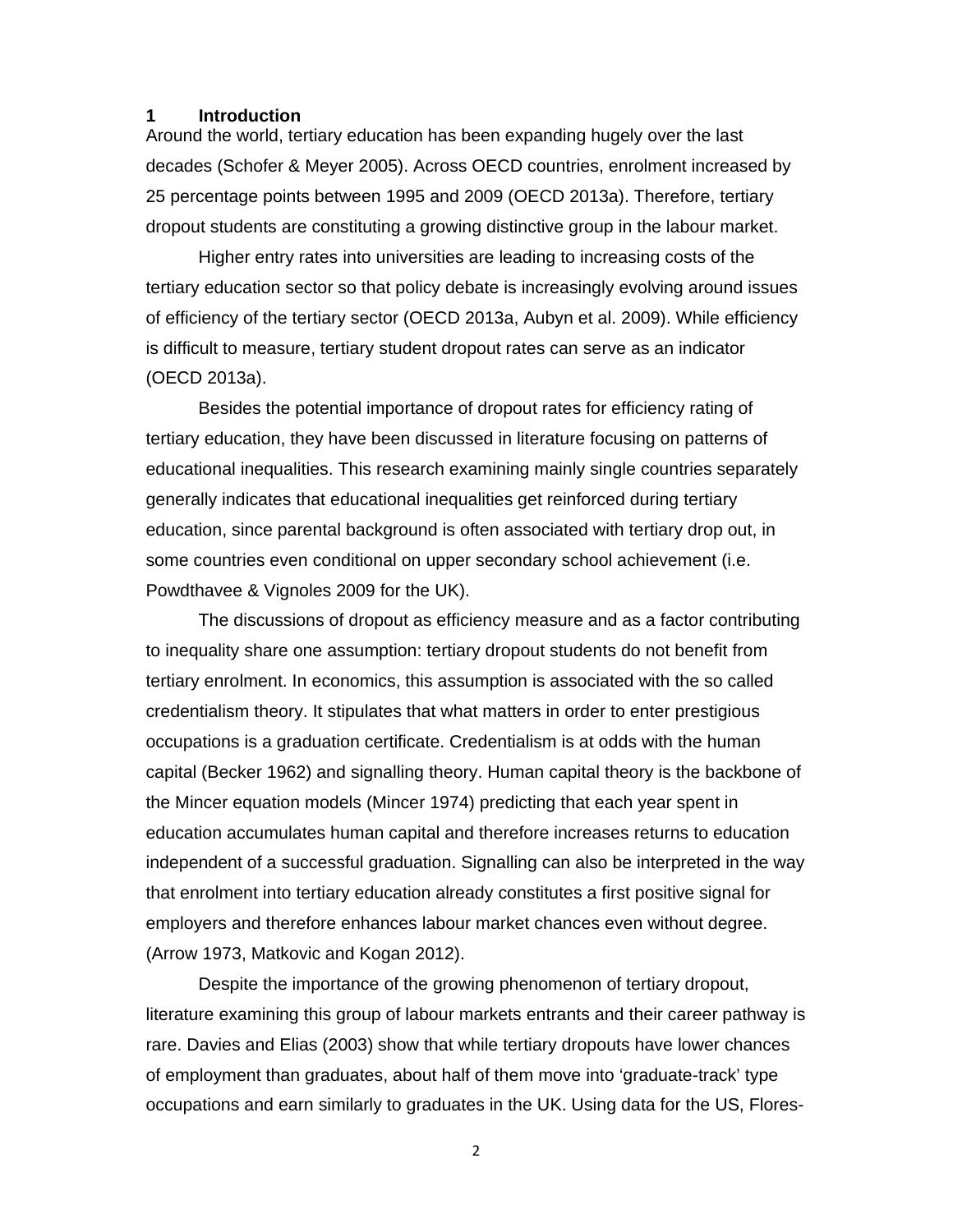#### **1 Introduction**

Around the world, tertiary education has been expanding hugely over the last decades (Schofer & Meyer 2005). Across OECD countries, enrolment increased by 25 percentage points between 1995 and 2009 (OECD 2013a). Therefore, tertiary dropout students are constituting a growing distinctive group in the labour market.

Higher entry rates into universities are leading to increasing costs of the tertiary education sector so that policy debate is increasingly evolving around issues of efficiency of the tertiary sector (OECD 2013a, Aubyn et al. 2009). While efficiency is difficult to measure, tertiary student dropout rates can serve as an indicator (OECD 2013a).

Besides the potential importance of dropout rates for efficiency rating of tertiary education, they have been discussed in literature focusing on patterns of educational inequalities. This research examining mainly single countries separately generally indicates that educational inequalities get reinforced during tertiary education, since parental background is often associated with tertiary drop out, in some countries even conditional on upper secondary school achievement (i.e. Powdthavee & Vignoles 2009 for the UK).

The discussions of dropout as efficiency measure and as a factor contributing to inequality share one assumption: tertiary dropout students do not benefit from tertiary enrolment. In economics, this assumption is associated with the so called credentialism theory. It stipulates that what matters in order to enter prestigious occupations is a graduation certificate. Credentialism is at odds with the human capital (Becker 1962) and signalling theory. Human capital theory is the backbone of the Mincer equation models (Mincer 1974) predicting that each year spent in education accumulates human capital and therefore increases returns to education independent of a successful graduation. Signalling can also be interpreted in the way that enrolment into tertiary education already constitutes a first positive signal for employers and therefore enhances labour market chances even without degree. (Arrow 1973, Matkovic and Kogan 2012).

Despite the importance of the growing phenomenon of tertiary dropout, literature examining this group of labour markets entrants and their career pathway is rare. Davies and Elias (2003) show that while tertiary dropouts have lower chances of employment than graduates, about half of them move into 'graduate-track' type occupations and earn similarly to graduates in the UK. Using data for the US, Flores-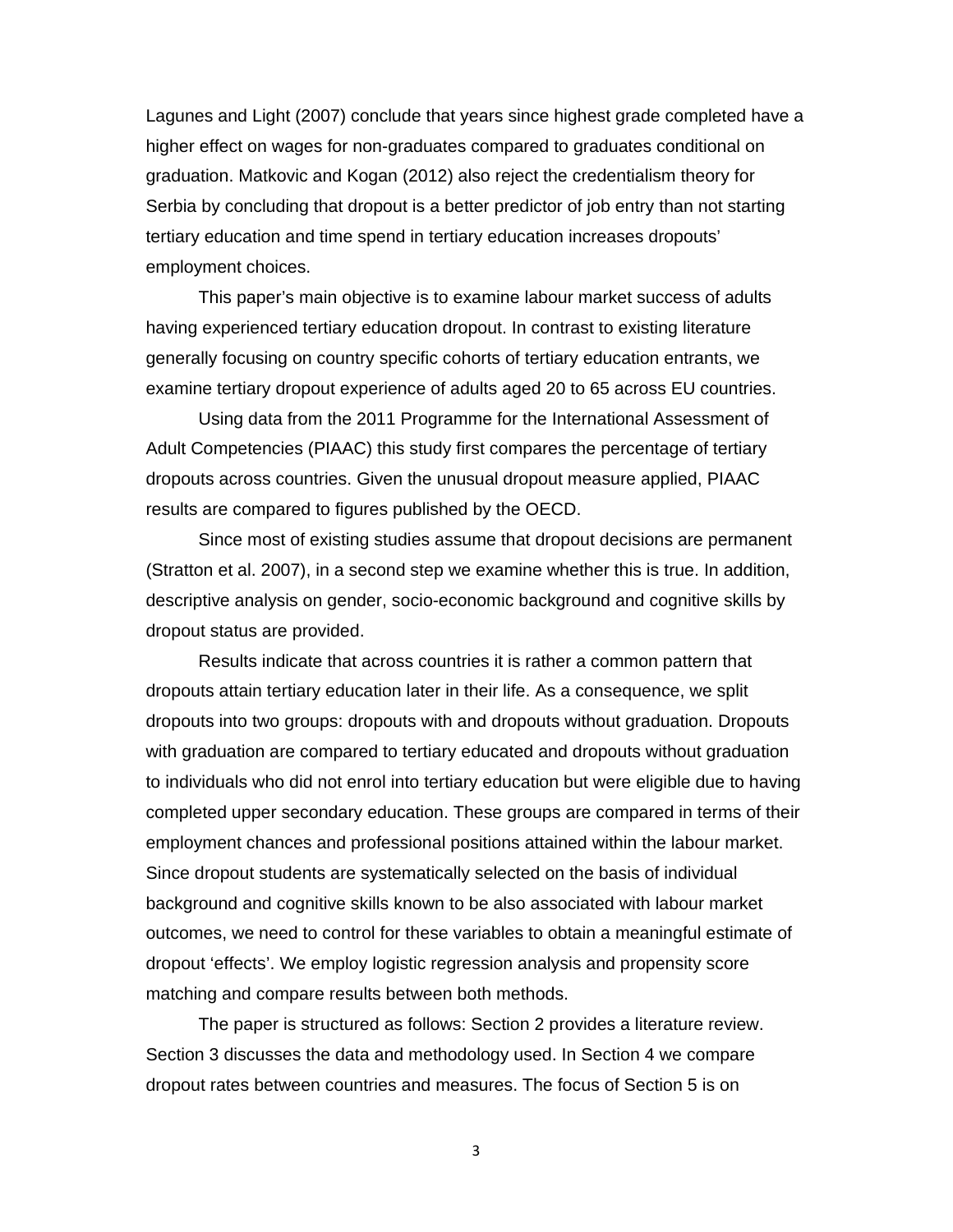Lagunes and Light (2007) conclude that years since highest grade completed have a higher effect on wages for non-graduates compared to graduates conditional on graduation. Matkovic and Kogan (2012) also reject the credentialism theory for Serbia by concluding that dropout is a better predictor of job entry than not starting tertiary education and time spend in tertiary education increases dropouts' employment choices.

This paper's main objective is to examine labour market success of adults having experienced tertiary education dropout. In contrast to existing literature generally focusing on country specific cohorts of tertiary education entrants, we examine tertiary dropout experience of adults aged 20 to 65 across EU countries.

Using data from the 2011 Programme for the International Assessment of Adult Competencies (PIAAC) this study first compares the percentage of tertiary dropouts across countries. Given the unusual dropout measure applied, PIAAC results are compared to figures published by the OECD.

Since most of existing studies assume that dropout decisions are permanent (Stratton et al. 2007), in a second step we examine whether this is true. In addition, descriptive analysis on gender, socio-economic background and cognitive skills by dropout status are provided.

Results indicate that across countries it is rather a common pattern that dropouts attain tertiary education later in their life. As a consequence, we split dropouts into two groups: dropouts with and dropouts without graduation. Dropouts with graduation are compared to tertiary educated and dropouts without graduation to individuals who did not enrol into tertiary education but were eligible due to having completed upper secondary education. These groups are compared in terms of their employment chances and professional positions attained within the labour market. Since dropout students are systematically selected on the basis of individual background and cognitive skills known to be also associated with labour market outcomes, we need to control for these variables to obtain a meaningful estimate of dropout 'effects'. We employ logistic regression analysis and propensity score matching and compare results between both methods.

The paper is structured as follows: Section 2 provides a literature review. Section 3 discusses the data and methodology used. In Section 4 we compare dropout rates between countries and measures. The focus of Section 5 is on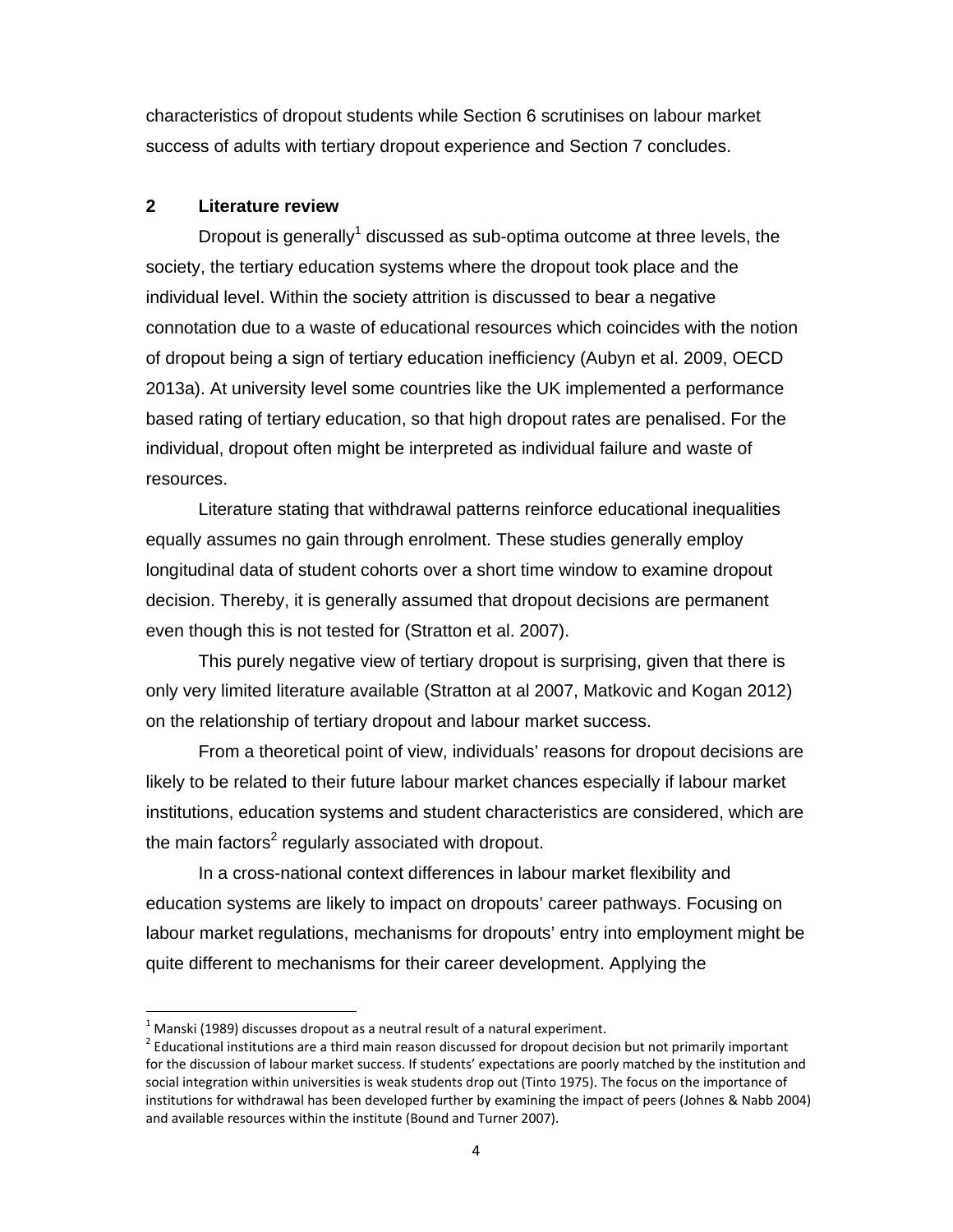characteristics of dropout students while Section 6 scrutinises on labour market success of adults with tertiary dropout experience and Section 7 concludes.

#### **2 Literature review**

Dropout is generally<sup>1</sup> discussed as sub-optima outcome at three levels, the society, the tertiary education systems where the dropout took place and the individual level. Within the society attrition is discussed to bear a negative connotation due to a waste of educational resources which coincides with the notion of dropout being a sign of tertiary education inefficiency (Aubyn et al. 2009, OECD 2013a). At university level some countries like the UK implemented a performance based rating of tertiary education, so that high dropout rates are penalised. For the individual, dropout often might be interpreted as individual failure and waste of resources.

Literature stating that withdrawal patterns reinforce educational inequalities equally assumes no gain through enrolment. These studies generally employ longitudinal data of student cohorts over a short time window to examine dropout decision. Thereby, it is generally assumed that dropout decisions are permanent even though this is not tested for (Stratton et al. 2007).

This purely negative view of tertiary dropout is surprising, given that there is only very limited literature available (Stratton at al 2007, Matkovic and Kogan 2012) on the relationship of tertiary dropout and labour market success.

From a theoretical point of view, individuals' reasons for dropout decisions are likely to be related to their future labour market chances especially if labour market institutions, education systems and student characteristics are considered, which are the main factors<sup>2</sup> regularly associated with dropout.

In a cross-national context differences in labour market flexibility and education systems are likely to impact on dropouts' career pathways. Focusing on labour market regulations, mechanisms for dropouts' entry into employment might be quite different to mechanisms for their career development. Applying the

 $1$  Manski (1989) discusses dropout as a neutral result of a natural experiment.

 $2$  Educational institutions are a third main reason discussed for dropout decision but not primarily important for the discussion of labour market success. If students' expectations are poorly matched by the institution and social integration within universities is weak students drop out (Tinto 1975). The focus on the importance of institutions for withdrawal has been developed further by examining the impact of peers (Johnes & Nabb 2004) and available resources within the institute (Bound and Turner 2007).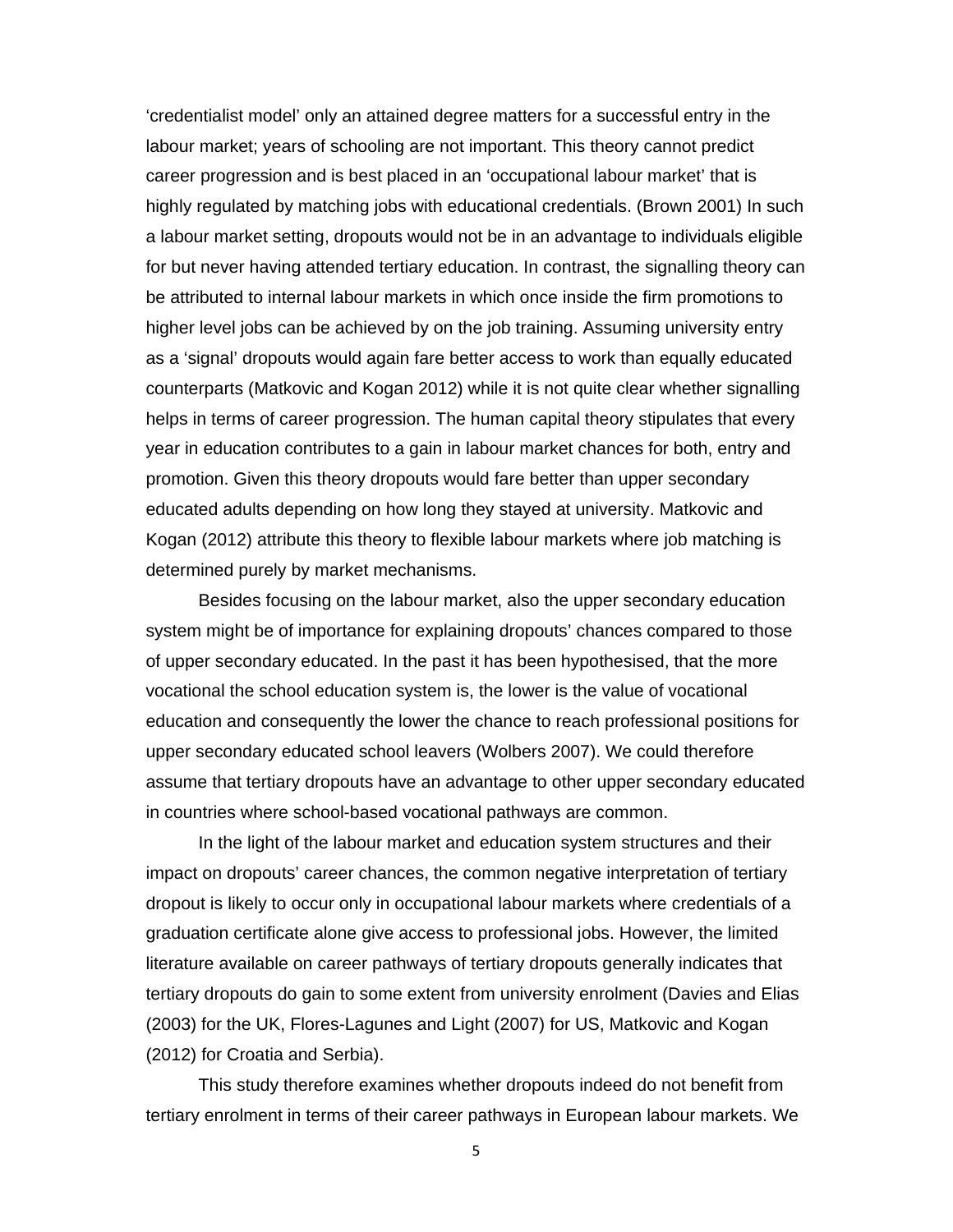'credentialist model' only an attained degree matters for a successful entry in the labour market; years of schooling are not important. This theory cannot predict career progression and is best placed in an 'occupational labour market' that is highly regulated by matching jobs with educational credentials. (Brown 2001) In such a labour market setting, dropouts would not be in an advantage to individuals eligible for but never having attended tertiary education. In contrast, the signalling theory can be attributed to internal labour markets in which once inside the firm promotions to higher level jobs can be achieved by on the job training. Assuming university entry as a 'signal' dropouts would again fare better access to work than equally educated counterparts (Matkovic and Kogan 2012) while it is not quite clear whether signalling helps in terms of career progression. The human capital theory stipulates that every year in education contributes to a gain in labour market chances for both, entry and promotion. Given this theory dropouts would fare better than upper secondary educated adults depending on how long they stayed at university. Matkovic and Kogan (2012) attribute this theory to flexible labour markets where job matching is determined purely by market mechanisms.

Besides focusing on the labour market, also the upper secondary education system might be of importance for explaining dropouts' chances compared to those of upper secondary educated. In the past it has been hypothesised, that the more vocational the school education system is, the lower is the value of vocational education and consequently the lower the chance to reach professional positions for upper secondary educated school leavers (Wolbers 2007). We could therefore assume that tertiary dropouts have an advantage to other upper secondary educated in countries where school-based vocational pathways are common.

In the light of the labour market and education system structures and their impact on dropouts' career chances, the common negative interpretation of tertiary dropout is likely to occur only in occupational labour markets where credentials of a graduation certificate alone give access to professional jobs. However, the limited literature available on career pathways of tertiary dropouts generally indicates that tertiary dropouts do gain to some extent from university enrolment (Davies and Elias (2003) for the UK, Flores-Lagunes and Light (2007) for US, Matkovic and Kogan (2012) for Croatia and Serbia).

This study therefore examines whether dropouts indeed do not benefit from tertiary enrolment in terms of their career pathways in European labour markets. We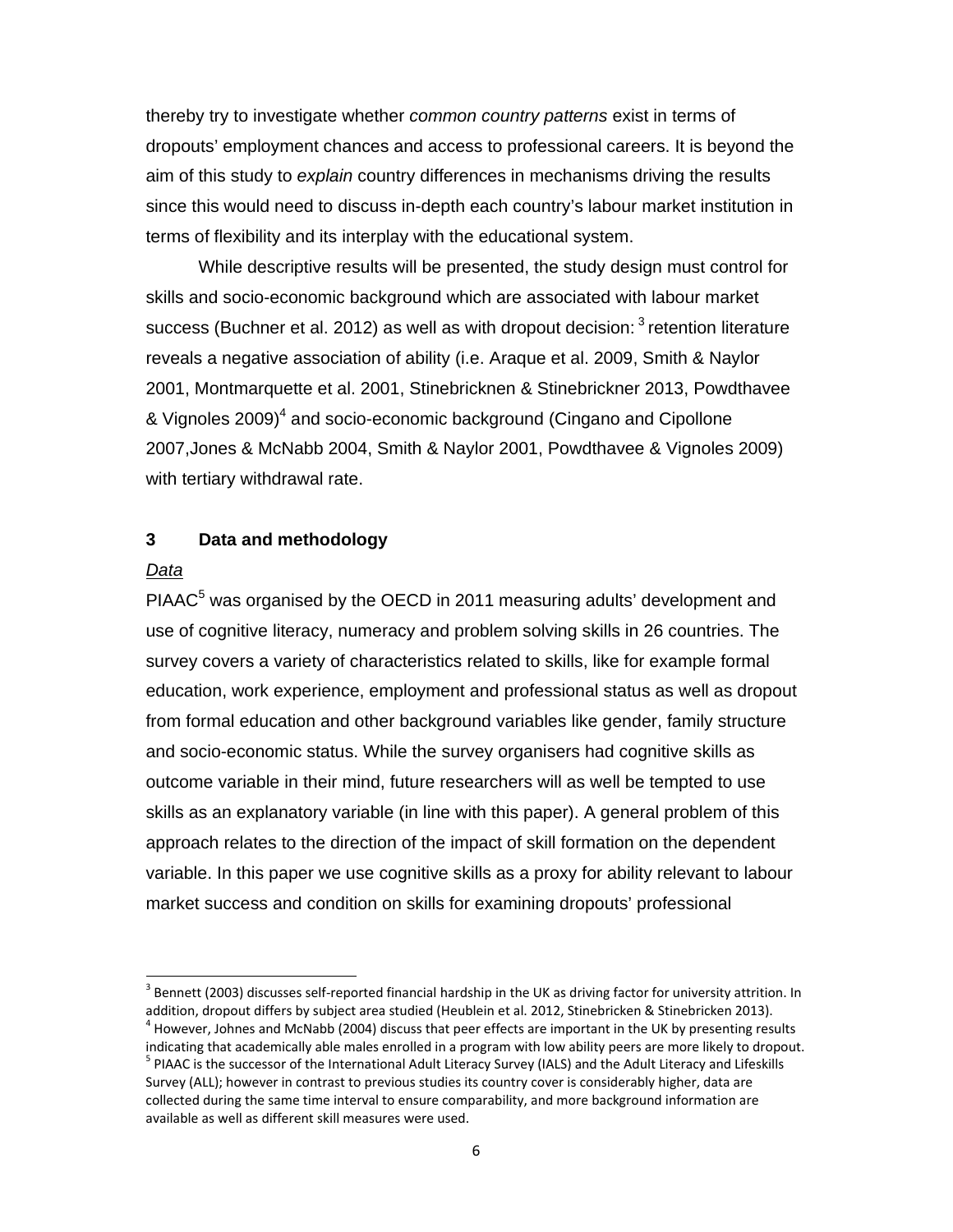thereby try to investigate whether *common country patterns* exist in terms of dropouts' employment chances and access to professional careers. It is beyond the aim of this study to *explain* country differences in mechanisms driving the results since this would need to discuss in-depth each country's labour market institution in terms of flexibility and its interplay with the educational system.

While descriptive results will be presented, the study design must control for skills and socio-economic background which are associated with labour market success (Buchner et al. 2012) as well as with dropout decision:  $3$  retention literature reveals a negative association of ability (i.e. Araque et al. 2009, Smith & Naylor 2001, Montmarquette et al. 2001, Stinebricknen & Stinebrickner 2013, Powdthavee & Vignoles 2009)<sup>4</sup> and socio-economic background (Cingano and Cipollone 2007,Jones & McNabb 2004, Smith & Naylor 2001, Powdthavee & Vignoles 2009) with tertiary withdrawal rate.

#### **3 Data and methodology**

#### *Data*

PIAAC<sup>5</sup> was organised by the OECD in 2011 measuring adults' development and use of cognitive literacy, numeracy and problem solving skills in 26 countries. The survey covers a variety of characteristics related to skills, like for example formal education, work experience, employment and professional status as well as dropout from formal education and other background variables like gender, family structure and socio-economic status. While the survey organisers had cognitive skills as outcome variable in their mind, future researchers will as well be tempted to use skills as an explanatory variable (in line with this paper). A general problem of this approach relates to the direction of the impact of skill formation on the dependent variable. In this paper we use cognitive skills as a proxy for ability relevant to labour market success and condition on skills for examining dropouts' professional

 $3$  Bennett (2003) discusses self-reported financial hardship in the UK as driving factor for university attrition. In addition, dropout differs by subject area studied (Heublein et al. 2012, Stinebricken & Stinebricken 2013).<br><sup>4</sup> However, Johnes and McNabb (2004) discuss that peer effects are important in the UK by presenting results

indicating that academically able males enrolled in a program with low ability peers are more likely to dropout.<br><sup>5</sup> PIAAC is the successor of the International Adult Literacy Survey (IALS) and the Adult Literacy and Lifes Survey (ALL); however in contrast to previous studies its country cover is considerably higher, data are

collected during the same time interval to ensure comparability, and more background information are available as well as different skill measures were used.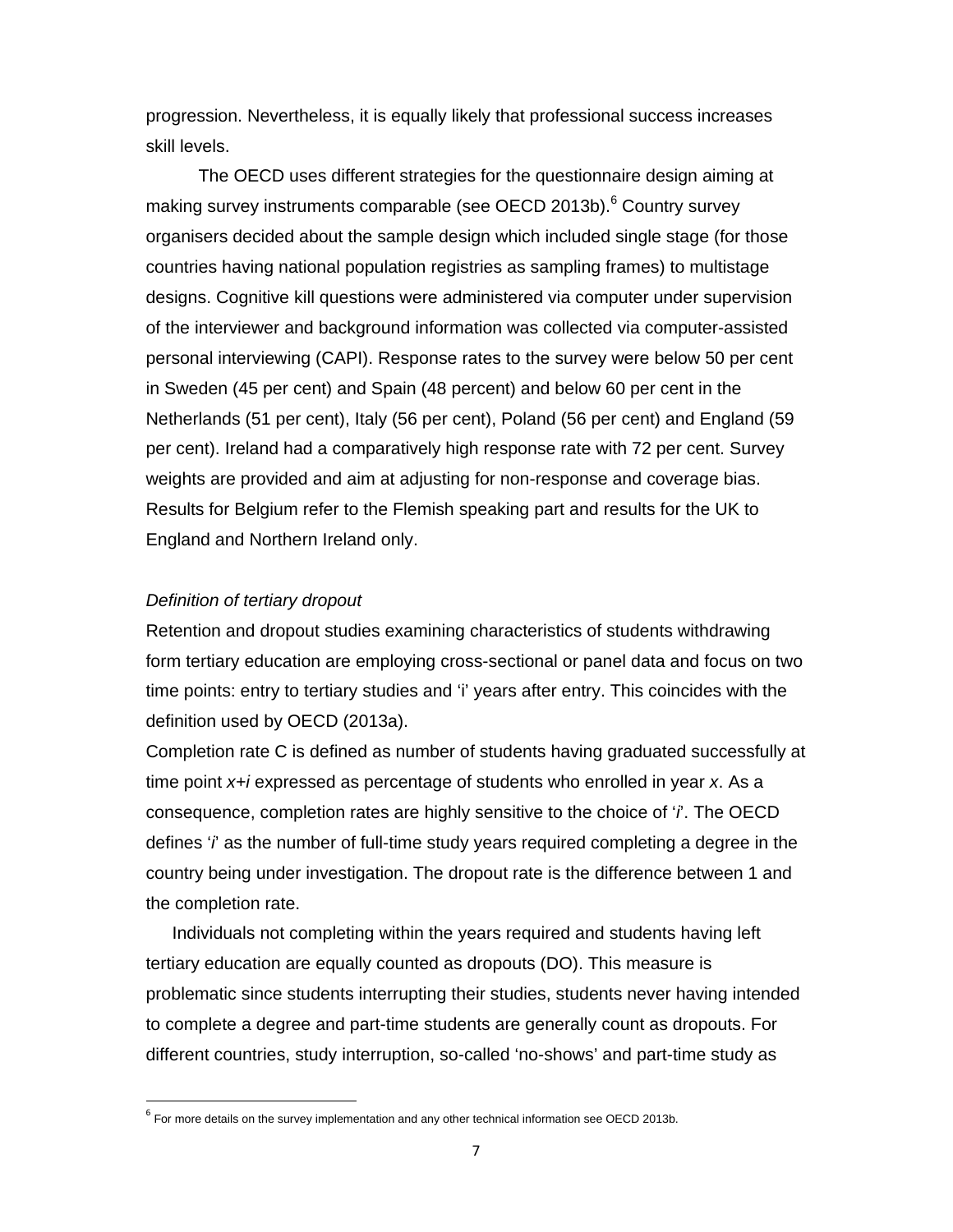progression. Nevertheless, it is equally likely that professional success increases skill levels.

The OECD uses different strategies for the questionnaire design aiming at making survey instruments comparable (see OECD 2013b).<sup>6</sup> Country survey organisers decided about the sample design which included single stage (for those countries having national population registries as sampling frames) to multistage designs. Cognitive kill questions were administered via computer under supervision of the interviewer and background information was collected via computer-assisted personal interviewing (CAPI). Response rates to the survey were below 50 per cent in Sweden (45 per cent) and Spain (48 percent) and below 60 per cent in the Netherlands (51 per cent), Italy (56 per cent), Poland (56 per cent) and England (59 per cent). Ireland had a comparatively high response rate with 72 per cent. Survey weights are provided and aim at adjusting for non-response and coverage bias. Results for Belgium refer to the Flemish speaking part and results for the UK to England and Northern Ireland only.

#### *Definition of tertiary dropout*

Retention and dropout studies examining characteristics of students withdrawing form tertiary education are employing cross-sectional or panel data and focus on two time points: entry to tertiary studies and 'i' years after entry. This coincides with the definition used by OECD (2013a).

Completion rate C is defined as number of students having graduated successfully at time point *x+i* expressed as percentage of students who enrolled in year *x*. As a consequence, completion rates are highly sensitive to the choice of '*i*'. The OECD defines '*i*' as the number of full-time study years required completing a degree in the country being under investigation. The dropout rate is the difference between 1 and the completion rate.

Individuals not completing within the years required and students having left tertiary education are equally counted as dropouts (DO). This measure is problematic since students interrupting their studies, students never having intended to complete a degree and part-time students are generally count as dropouts. For different countries, study interruption, so-called 'no-shows' and part-time study as

 $<sup>6</sup>$  For more details on the survey implementation and any other technical information see OECD 2013b.</sup>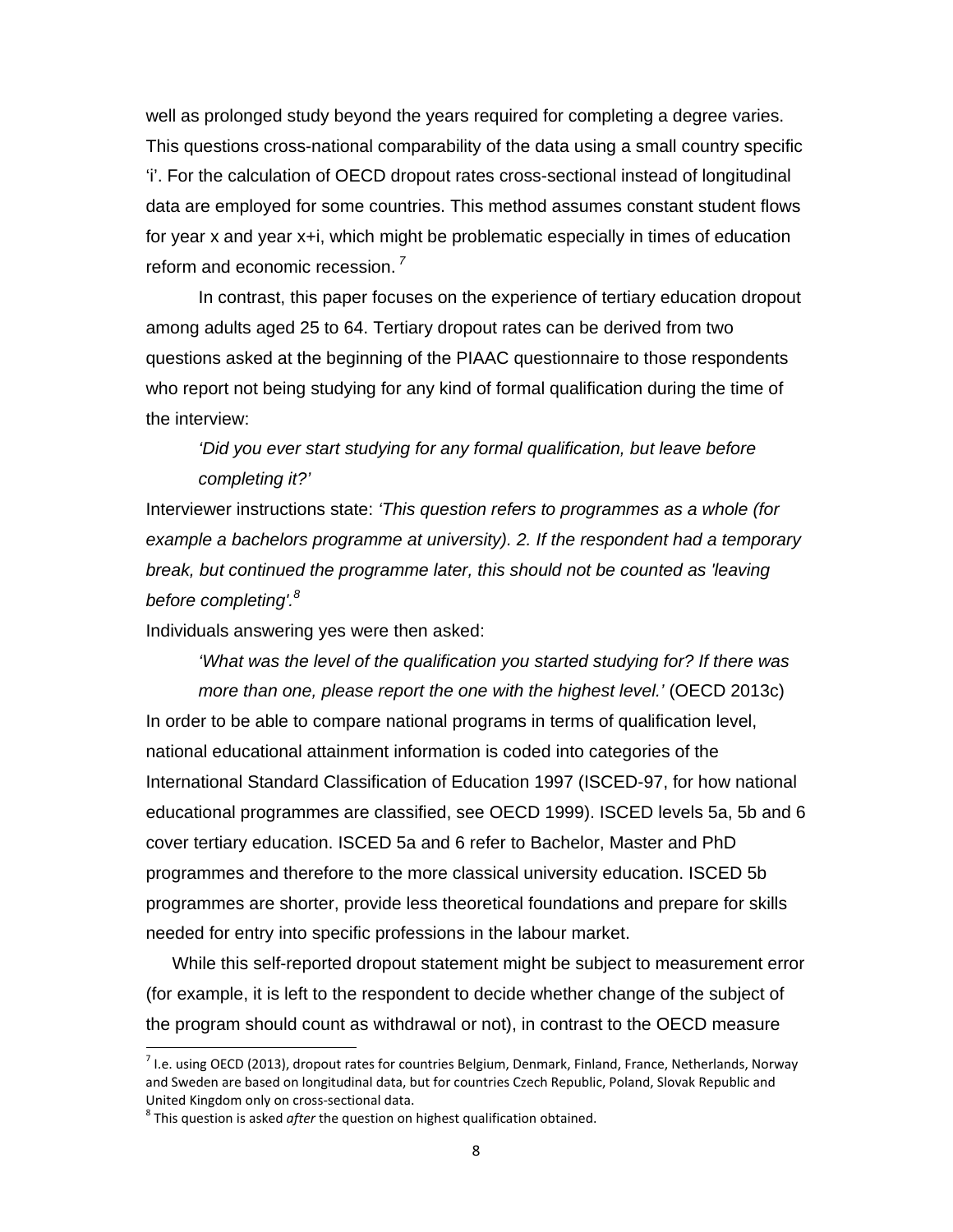well as prolonged study beyond the years required for completing a degree varies. This questions cross-national comparability of the data using a small country specific 'i'. For the calculation of OECD dropout rates cross-sectional instead of longitudinal data are employed for some countries. This method assumes constant student flows for year x and year x+i, which might be problematic especially in times of education reform and economic recession.*<sup>7</sup>*

 In contrast, this paper focuses on the experience of tertiary education dropout among adults aged 25 to 64. Tertiary dropout rates can be derived from two questions asked at the beginning of the PIAAC questionnaire to those respondents who report not being studying for any kind of formal qualification during the time of the interview:

### *'Did you ever start studying for any formal qualification, but leave before completing it?'*

Interviewer instructions state: *'This question refers to programmes as a whole (for example a bachelors programme at university). 2. If the respondent had a temporary break, but continued the programme later, this should not be counted as 'leaving before completing'.8*

Individuals answering yes were then asked:

*'What was the level of the qualification you started studying for? If there was more than one, please report the one with the highest level.'* (OECD 2013c) In order to be able to compare national programs in terms of qualification level, national educational attainment information is coded into categories of the International Standard Classification of Education 1997 (ISCED-97, for how national educational programmes are classified, see OECD 1999). ISCED levels 5a, 5b and 6 cover tertiary education. ISCED 5a and 6 refer to Bachelor, Master and PhD programmes and therefore to the more classical university education. ISCED 5b programmes are shorter, provide less theoretical foundations and prepare for skills needed for entry into specific professions in the labour market.

While this self-reported dropout statement might be subject to measurement error (for example, it is left to the respondent to decide whether change of the subject of the program should count as withdrawal or not), in contrast to the OECD measure

 $<sup>7</sup>$  I.e. using OECD (2013), dropout rates for countries Belgium, Denmark, Finland, France, Netherlands, Norway</sup> and Sweden are based on longitudinal data, but for countries Czech Republic, Poland, Slovak Republic and United Kingdom only on cross-sectional data.<br><sup>8</sup> This question is asked *after* the question on highest qualification obtained.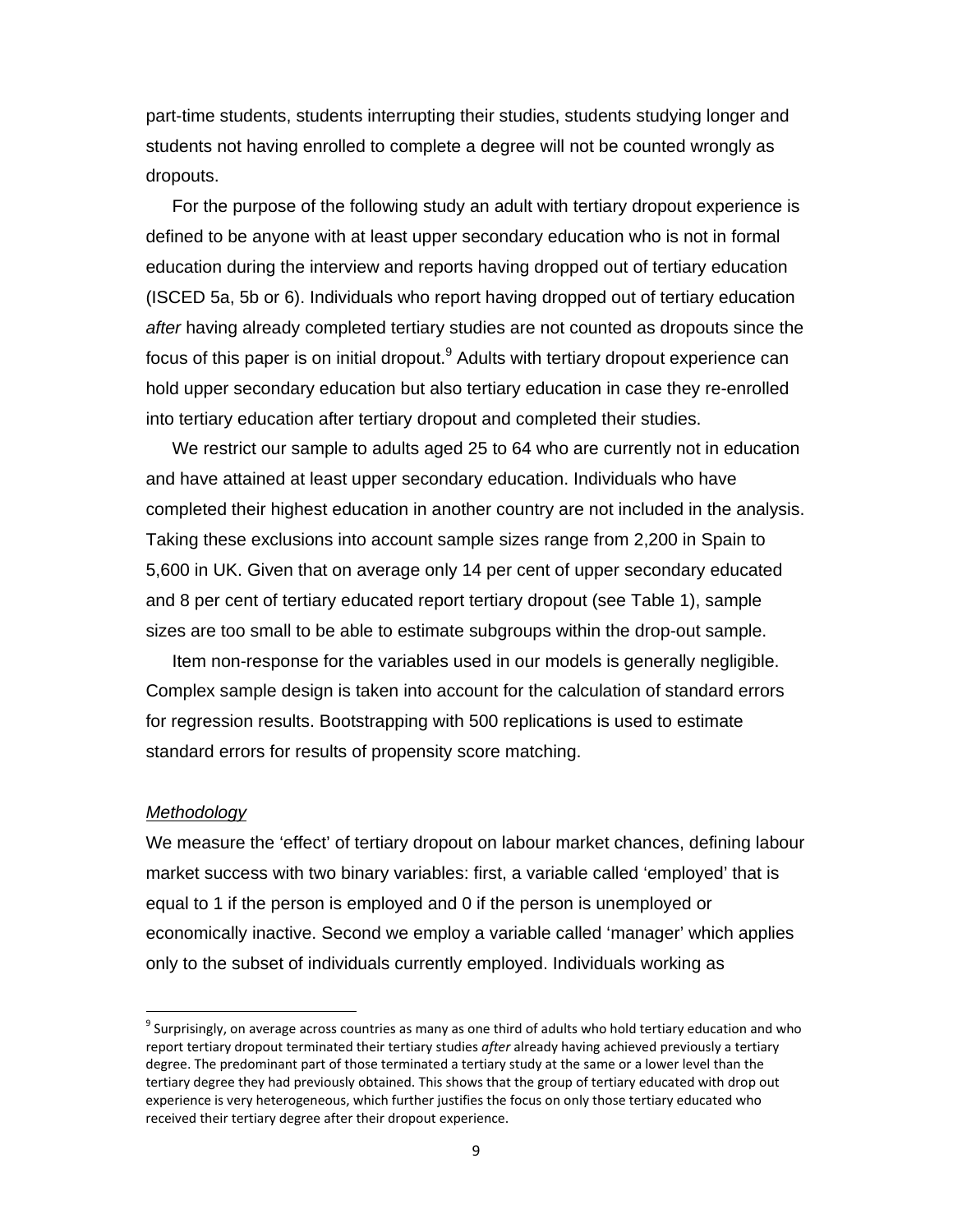part-time students, students interrupting their studies, students studying longer and students not having enrolled to complete a degree will not be counted wrongly as dropouts.

For the purpose of the following study an adult with tertiary dropout experience is defined to be anyone with at least upper secondary education who is not in formal education during the interview and reports having dropped out of tertiary education (ISCED 5a, 5b or 6). Individuals who report having dropped out of tertiary education *after* having already completed tertiary studies are not counted as dropouts since the focus of this paper is on initial dropout.<sup>9</sup> Adults with tertiary dropout experience can hold upper secondary education but also tertiary education in case they re-enrolled into tertiary education after tertiary dropout and completed their studies.

We restrict our sample to adults aged 25 to 64 who are currently not in education and have attained at least upper secondary education. Individuals who have completed their highest education in another country are not included in the analysis. Taking these exclusions into account sample sizes range from 2,200 in Spain to 5,600 in UK. Given that on average only 14 per cent of upper secondary educated and 8 per cent of tertiary educated report tertiary dropout (see Table 1), sample sizes are too small to be able to estimate subgroups within the drop-out sample.

Item non-response for the variables used in our models is generally negligible. Complex sample design is taken into account for the calculation of standard errors for regression results. Bootstrapping with 500 replications is used to estimate standard errors for results of propensity score matching.

#### *Methodology*

We measure the 'effect' of tertiary dropout on labour market chances, defining labour market success with two binary variables: first, a variable called 'employed' that is equal to 1 if the person is employed and 0 if the person is unemployed or economically inactive. Second we employ a variable called 'manager' which applies only to the subset of individuals currently employed. Individuals working as

 $9$  Surprisingly, on average across countries as many as one third of adults who hold tertiary education and who report tertiary dropout terminated their tertiary studies *after* already having achieved previously a tertiary degree. The predominant part of those terminated a tertiary study at the same or a lower level than the tertiary degree they had previously obtained. This shows that the group of tertiary educated with drop out experience is very heterogeneous, which further justifies the focus on only those tertiary educated who received their tertiary degree after their dropout experience.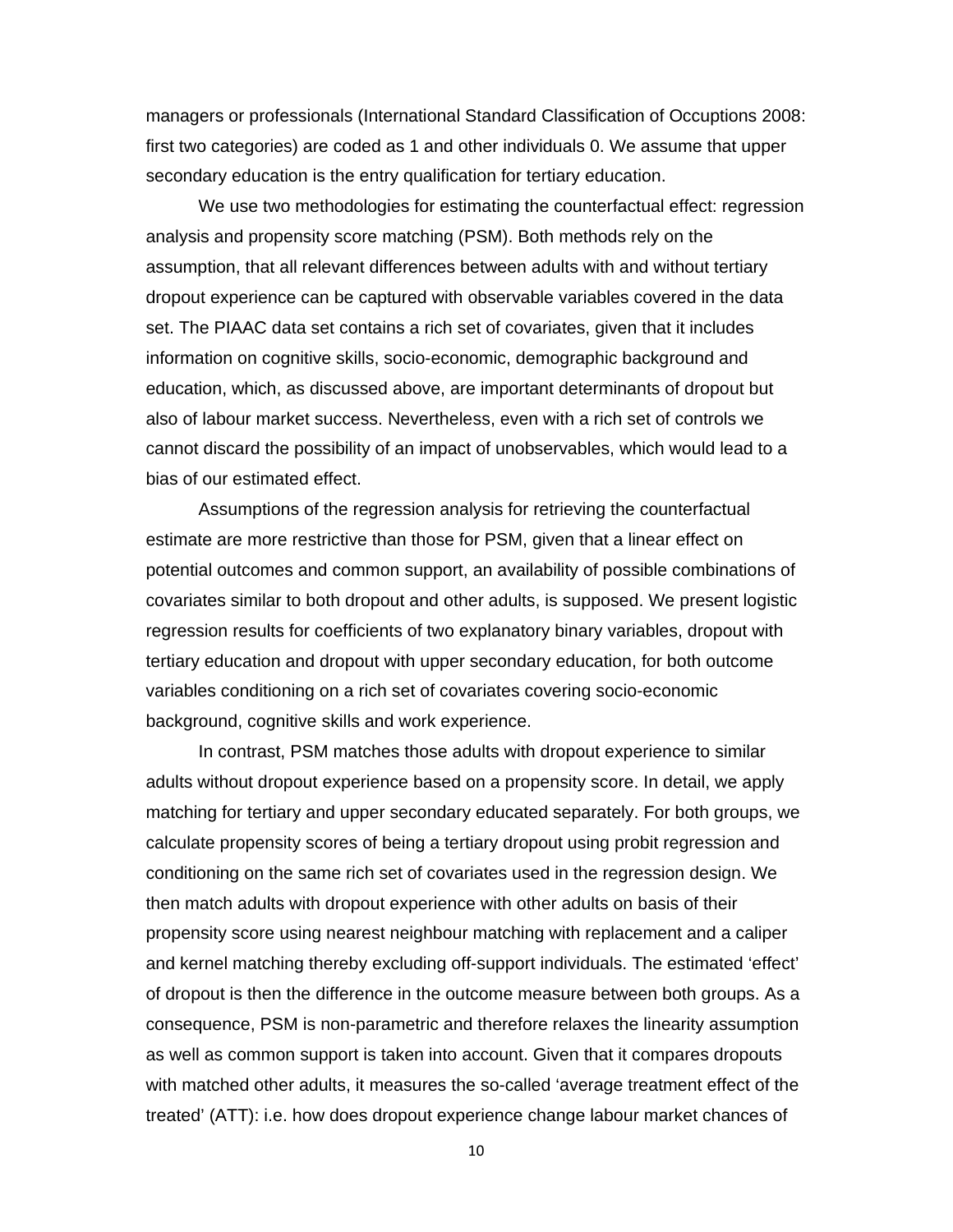managers or professionals (International Standard Classification of Occuptions 2008: first two categories) are coded as 1 and other individuals 0. We assume that upper secondary education is the entry qualification for tertiary education.

We use two methodologies for estimating the counterfactual effect: regression analysis and propensity score matching (PSM). Both methods rely on the assumption, that all relevant differences between adults with and without tertiary dropout experience can be captured with observable variables covered in the data set. The PIAAC data set contains a rich set of covariates, given that it includes information on cognitive skills, socio-economic, demographic background and education, which, as discussed above, are important determinants of dropout but also of labour market success. Nevertheless, even with a rich set of controls we cannot discard the possibility of an impact of unobservables, which would lead to a bias of our estimated effect.

 Assumptions of the regression analysis for retrieving the counterfactual estimate are more restrictive than those for PSM, given that a linear effect on potential outcomes and common support, an availability of possible combinations of covariates similar to both dropout and other adults, is supposed. We present logistic regression results for coefficients of two explanatory binary variables, dropout with tertiary education and dropout with upper secondary education, for both outcome variables conditioning on a rich set of covariates covering socio-economic background, cognitive skills and work experience.

In contrast, PSM matches those adults with dropout experience to similar adults without dropout experience based on a propensity score. In detail, we apply matching for tertiary and upper secondary educated separately. For both groups, we calculate propensity scores of being a tertiary dropout using probit regression and conditioning on the same rich set of covariates used in the regression design. We then match adults with dropout experience with other adults on basis of their propensity score using nearest neighbour matching with replacement and a caliper and kernel matching thereby excluding off-support individuals. The estimated 'effect' of dropout is then the difference in the outcome measure between both groups. As a consequence, PSM is non-parametric and therefore relaxes the linearity assumption as well as common support is taken into account. Given that it compares dropouts with matched other adults, it measures the so-called 'average treatment effect of the treated' (ATT): i.e. how does dropout experience change labour market chances of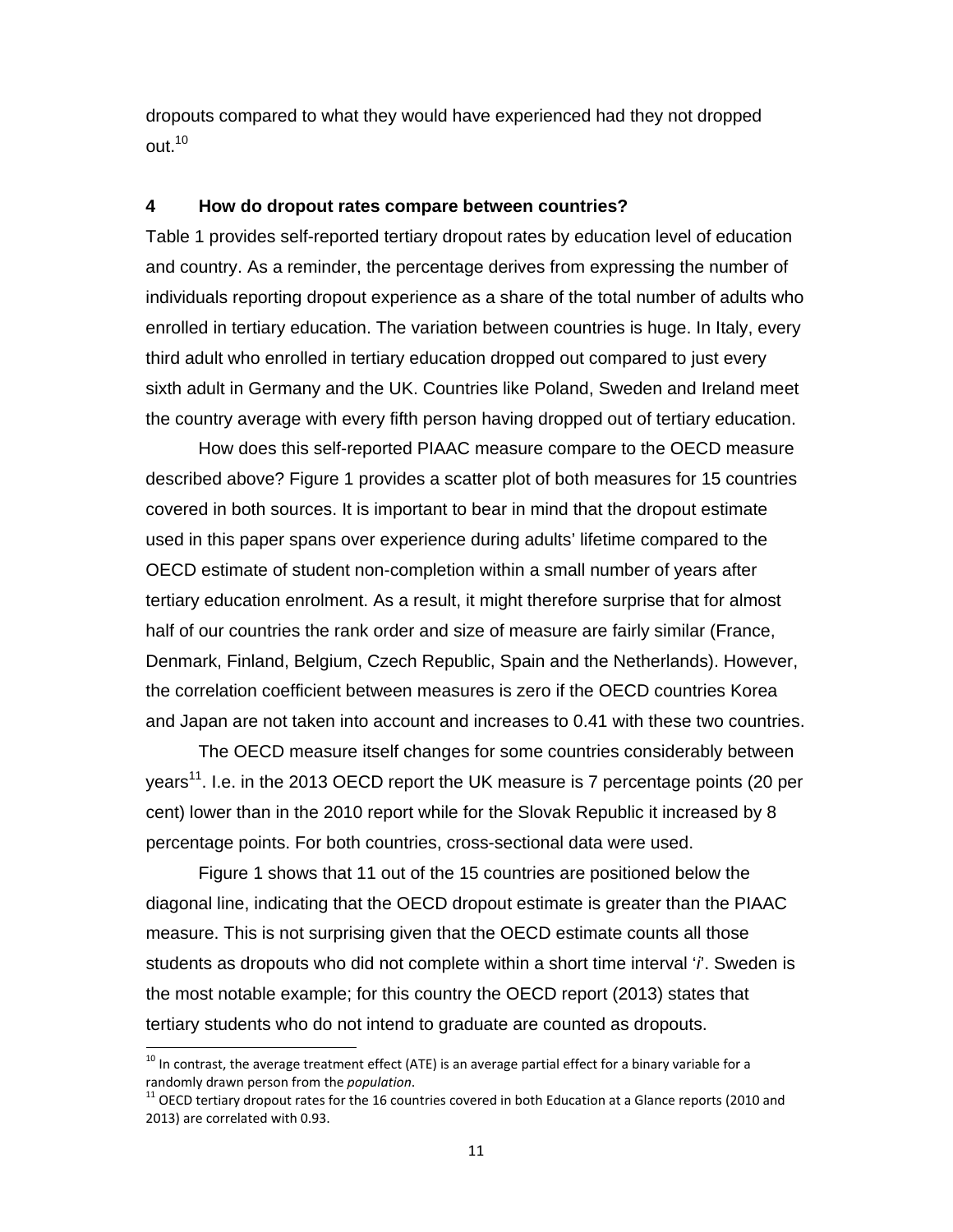dropouts compared to what they would have experienced had they not dropped out.10

#### **4 How do dropout rates compare between countries?**

Table 1 provides self-reported tertiary dropout rates by education level of education and country. As a reminder, the percentage derives from expressing the number of individuals reporting dropout experience as a share of the total number of adults who enrolled in tertiary education. The variation between countries is huge. In Italy, every third adult who enrolled in tertiary education dropped out compared to just every sixth adult in Germany and the UK. Countries like Poland, Sweden and Ireland meet the country average with every fifth person having dropped out of tertiary education.

How does this self-reported PIAAC measure compare to the OECD measure described above? Figure 1 provides a scatter plot of both measures for 15 countries covered in both sources. It is important to bear in mind that the dropout estimate used in this paper spans over experience during adults' lifetime compared to the OECD estimate of student non-completion within a small number of years after tertiary education enrolment. As a result, it might therefore surprise that for almost half of our countries the rank order and size of measure are fairly similar (France, Denmark, Finland, Belgium, Czech Republic, Spain and the Netherlands). However, the correlation coefficient between measures is zero if the OECD countries Korea and Japan are not taken into account and increases to 0.41 with these two countries.

The OECD measure itself changes for some countries considerably between years<sup>11</sup>. I.e. in the 2013 OECD report the UK measure is 7 percentage points (20 per cent) lower than in the 2010 report while for the Slovak Republic it increased by 8 percentage points. For both countries, cross-sectional data were used.

Figure 1 shows that 11 out of the 15 countries are positioned below the diagonal line, indicating that the OECD dropout estimate is greater than the PIAAC measure. This is not surprising given that the OECD estimate counts all those students as dropouts who did not complete within a short time interval '*i*'. Sweden is the most notable example; for this country the OECD report (2013) states that tertiary students who do not intend to graduate are counted as dropouts.

 $^{10}$  In contrast, the average treatment effect (ATE) is an average partial effect for a binary variable for a randomly drawn person from the *population*.<br><sup>11</sup> OECD tertiary dropout rates for the 16 countries covered in both Education at a Glance reports (2010 and

<sup>2013)</sup> are correlated with 0.93.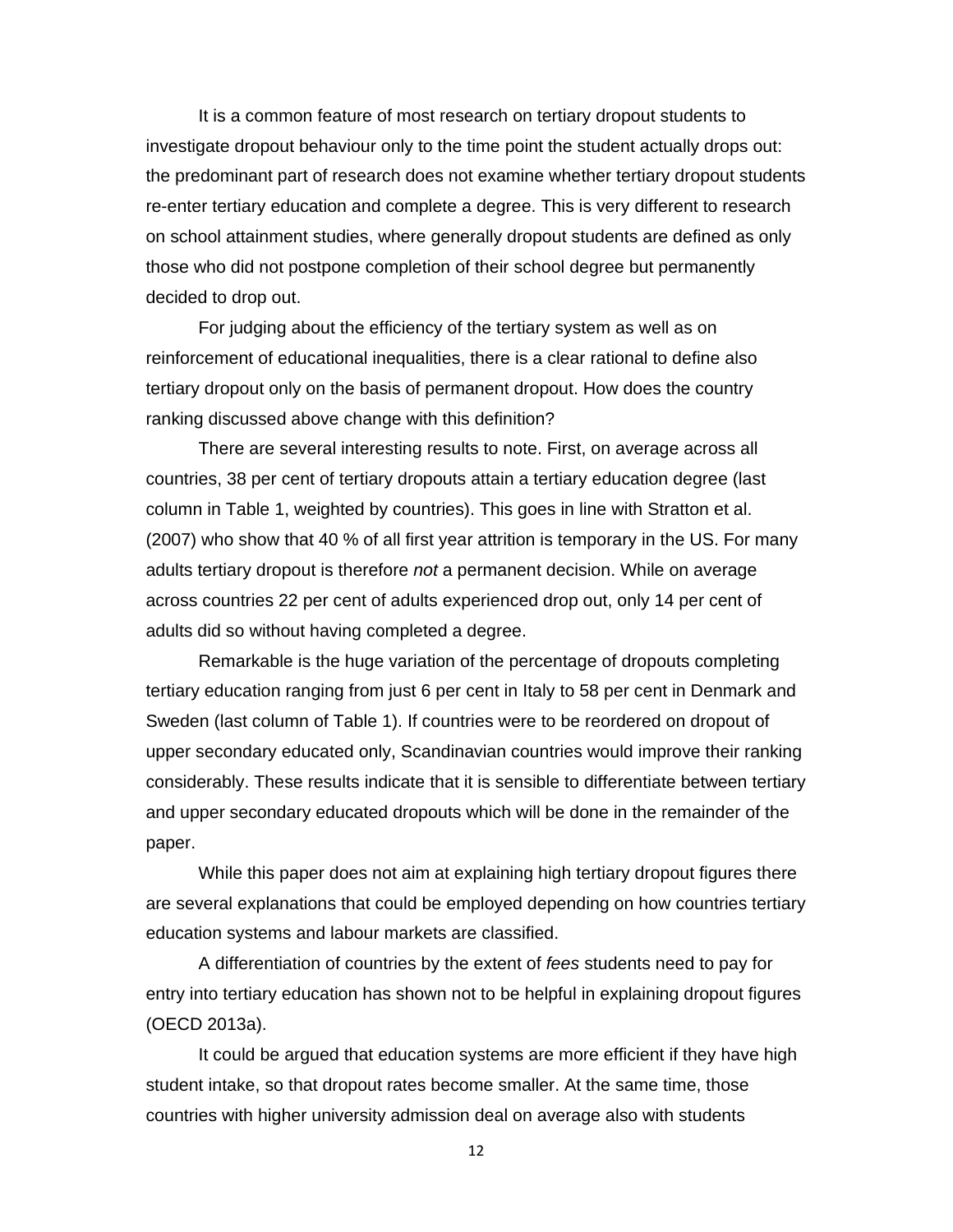It is a common feature of most research on tertiary dropout students to investigate dropout behaviour only to the time point the student actually drops out: the predominant part of research does not examine whether tertiary dropout students re-enter tertiary education and complete a degree. This is very different to research on school attainment studies, where generally dropout students are defined as only those who did not postpone completion of their school degree but permanently decided to drop out.

For judging about the efficiency of the tertiary system as well as on reinforcement of educational inequalities, there is a clear rational to define also tertiary dropout only on the basis of permanent dropout. How does the country ranking discussed above change with this definition?

There are several interesting results to note. First, on average across all countries, 38 per cent of tertiary dropouts attain a tertiary education degree (last column in Table 1, weighted by countries). This goes in line with Stratton et al. (2007) who show that 40 % of all first year attrition is temporary in the US. For many adults tertiary dropout is therefore *not* a permanent decision. While on average across countries 22 per cent of adults experienced drop out, only 14 per cent of adults did so without having completed a degree.

Remarkable is the huge variation of the percentage of dropouts completing tertiary education ranging from just 6 per cent in Italy to 58 per cent in Denmark and Sweden (last column of Table 1). If countries were to be reordered on dropout of upper secondary educated only, Scandinavian countries would improve their ranking considerably. These results indicate that it is sensible to differentiate between tertiary and upper secondary educated dropouts which will be done in the remainder of the paper.

While this paper does not aim at explaining high tertiary dropout figures there are several explanations that could be employed depending on how countries tertiary education systems and labour markets are classified.

A differentiation of countries by the extent of *fees* students need to pay for entry into tertiary education has shown not to be helpful in explaining dropout figures (OECD 2013a).

It could be argued that education systems are more efficient if they have high student intake, so that dropout rates become smaller. At the same time, those countries with higher university admission deal on average also with students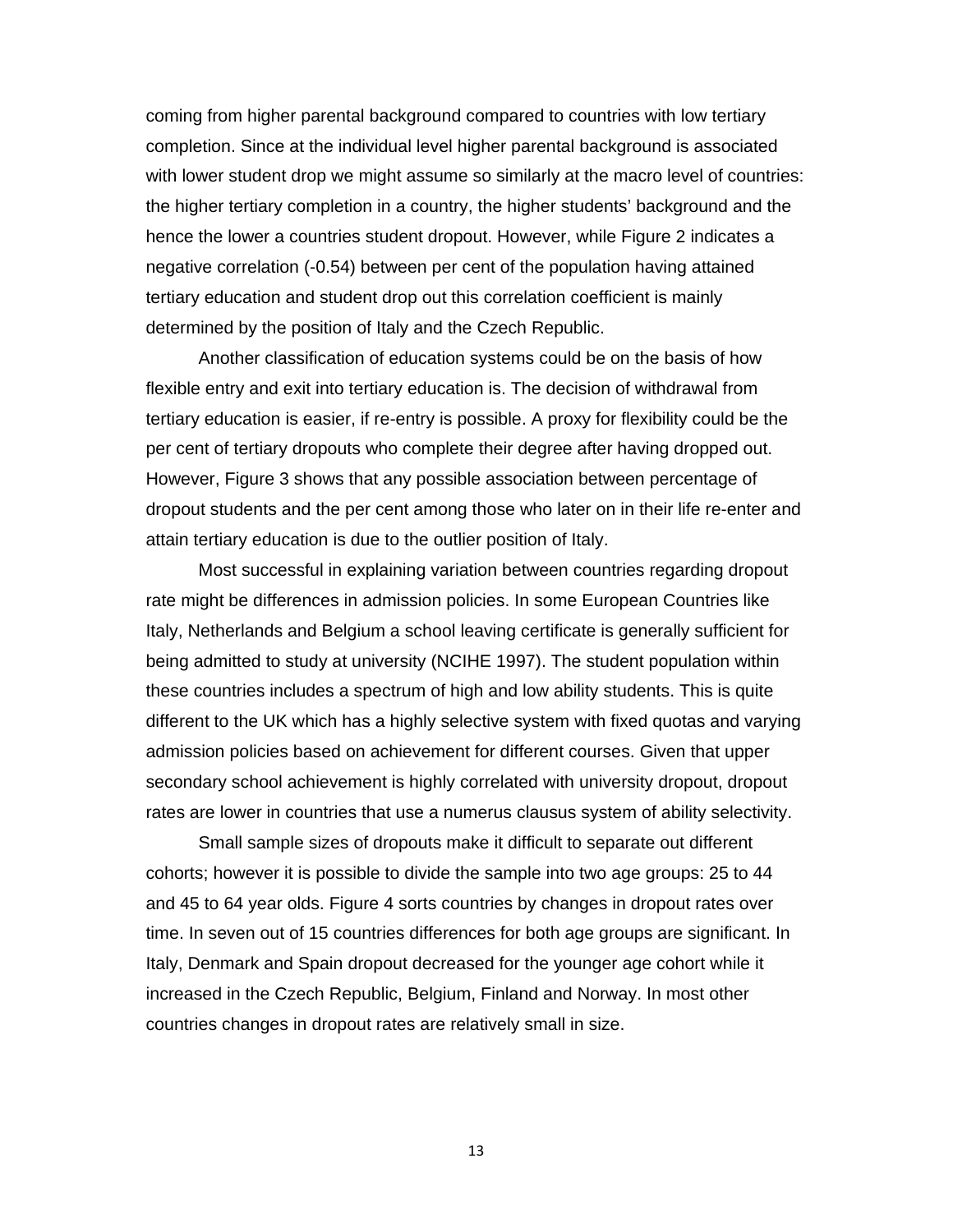coming from higher parental background compared to countries with low tertiary completion. Since at the individual level higher parental background is associated with lower student drop we might assume so similarly at the macro level of countries: the higher tertiary completion in a country, the higher students' background and the hence the lower a countries student dropout. However, while Figure 2 indicates a negative correlation (-0.54) between per cent of the population having attained tertiary education and student drop out this correlation coefficient is mainly determined by the position of Italy and the Czech Republic.

Another classification of education systems could be on the basis of how flexible entry and exit into tertiary education is. The decision of withdrawal from tertiary education is easier, if re-entry is possible. A proxy for flexibility could be the per cent of tertiary dropouts who complete their degree after having dropped out. However, Figure 3 shows that any possible association between percentage of dropout students and the per cent among those who later on in their life re-enter and attain tertiary education is due to the outlier position of Italy.

Most successful in explaining variation between countries regarding dropout rate might be differences in admission policies. In some European Countries like Italy, Netherlands and Belgium a school leaving certificate is generally sufficient for being admitted to study at university (NCIHE 1997). The student population within these countries includes a spectrum of high and low ability students. This is quite different to the UK which has a highly selective system with fixed quotas and varying admission policies based on achievement for different courses. Given that upper secondary school achievement is highly correlated with university dropout, dropout rates are lower in countries that use a numerus clausus system of ability selectivity.

Small sample sizes of dropouts make it difficult to separate out different cohorts; however it is possible to divide the sample into two age groups: 25 to 44 and 45 to 64 year olds. Figure 4 sorts countries by changes in dropout rates over time. In seven out of 15 countries differences for both age groups are significant. In Italy, Denmark and Spain dropout decreased for the younger age cohort while it increased in the Czech Republic, Belgium, Finland and Norway. In most other countries changes in dropout rates are relatively small in size.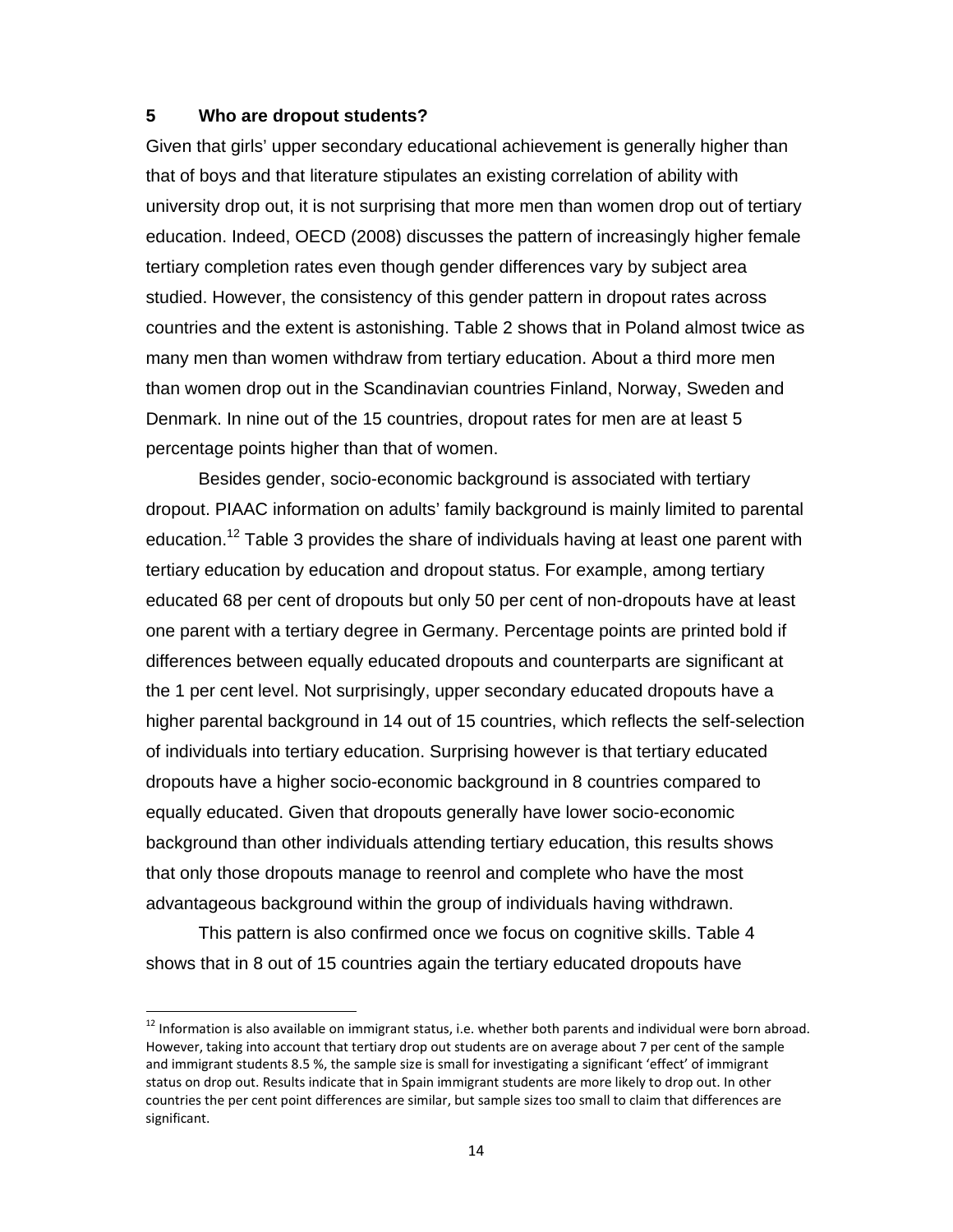#### **5 Who are dropout students?**

Given that girls' upper secondary educational achievement is generally higher than that of boys and that literature stipulates an existing correlation of ability with university drop out, it is not surprising that more men than women drop out of tertiary education. Indeed, OECD (2008) discusses the pattern of increasingly higher female tertiary completion rates even though gender differences vary by subject area studied. However, the consistency of this gender pattern in dropout rates across countries and the extent is astonishing. Table 2 shows that in Poland almost twice as many men than women withdraw from tertiary education. About a third more men than women drop out in the Scandinavian countries Finland, Norway, Sweden and Denmark. In nine out of the 15 countries, dropout rates for men are at least 5 percentage points higher than that of women.

Besides gender, socio-economic background is associated with tertiary dropout. PIAAC information on adults' family background is mainly limited to parental education.<sup>12</sup> Table 3 provides the share of individuals having at least one parent with tertiary education by education and dropout status. For example, among tertiary educated 68 per cent of dropouts but only 50 per cent of non-dropouts have at least one parent with a tertiary degree in Germany. Percentage points are printed bold if differences between equally educated dropouts and counterparts are significant at the 1 per cent level. Not surprisingly, upper secondary educated dropouts have a higher parental background in 14 out of 15 countries, which reflects the self-selection of individuals into tertiary education. Surprising however is that tertiary educated dropouts have a higher socio-economic background in 8 countries compared to equally educated. Given that dropouts generally have lower socio-economic background than other individuals attending tertiary education, this results shows that only those dropouts manage to reenrol and complete who have the most advantageous background within the group of individuals having withdrawn.

This pattern is also confirmed once we focus on cognitive skills. Table 4 shows that in 8 out of 15 countries again the tertiary educated dropouts have

 $12$  Information is also available on immigrant status, i.e. whether both parents and individual were born abroad. However, taking into account that tertiary drop out students are on average about 7 per cent of the sample and immigrant students 8.5 %, the sample size is small for investigating a significant 'effect' of immigrant status on drop out. Results indicate that in Spain immigrant students are more likely to drop out. In other countries the per cent point differences are similar, but sample sizes too small to claim that differences are significant.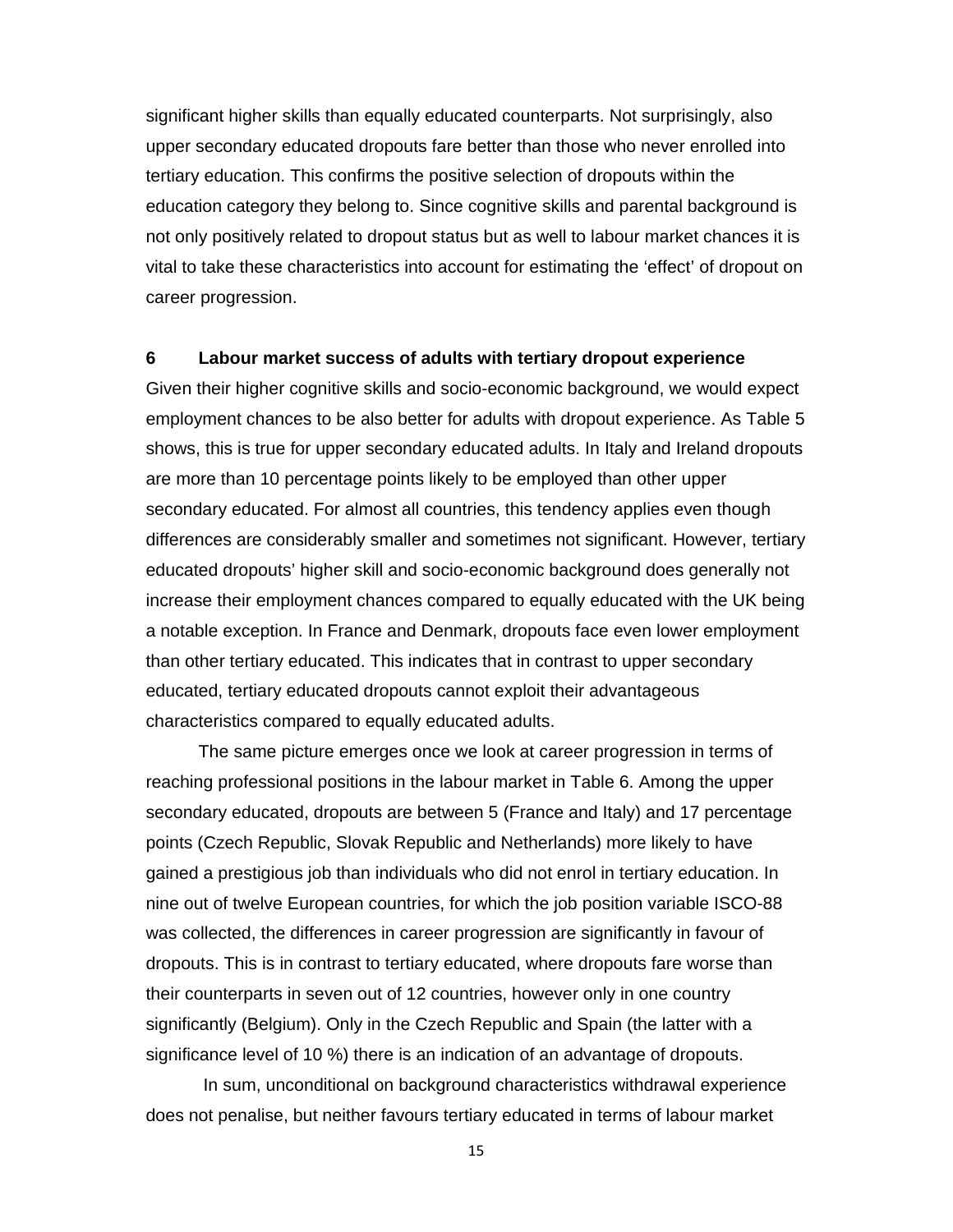significant higher skills than equally educated counterparts. Not surprisingly, also upper secondary educated dropouts fare better than those who never enrolled into tertiary education. This confirms the positive selection of dropouts within the education category they belong to. Since cognitive skills and parental background is not only positively related to dropout status but as well to labour market chances it is vital to take these characteristics into account for estimating the 'effect' of dropout on career progression.

#### **6 Labour market success of adults with tertiary dropout experience**

Given their higher cognitive skills and socio-economic background, we would expect employment chances to be also better for adults with dropout experience. As Table 5 shows, this is true for upper secondary educated adults. In Italy and Ireland dropouts are more than 10 percentage points likely to be employed than other upper secondary educated. For almost all countries, this tendency applies even though differences are considerably smaller and sometimes not significant. However, tertiary educated dropouts' higher skill and socio-economic background does generally not increase their employment chances compared to equally educated with the UK being a notable exception. In France and Denmark, dropouts face even lower employment than other tertiary educated. This indicates that in contrast to upper secondary educated, tertiary educated dropouts cannot exploit their advantageous characteristics compared to equally educated adults.

The same picture emerges once we look at career progression in terms of reaching professional positions in the labour market in Table 6. Among the upper secondary educated, dropouts are between 5 (France and Italy) and 17 percentage points (Czech Republic, Slovak Republic and Netherlands) more likely to have gained a prestigious job than individuals who did not enrol in tertiary education. In nine out of twelve European countries, for which the job position variable ISCO-88 was collected, the differences in career progression are significantly in favour of dropouts. This is in contrast to tertiary educated, where dropouts fare worse than their counterparts in seven out of 12 countries, however only in one country significantly (Belgium). Only in the Czech Republic and Spain (the latter with a significance level of 10 %) there is an indication of an advantage of dropouts.

 In sum, unconditional on background characteristics withdrawal experience does not penalise, but neither favours tertiary educated in terms of labour market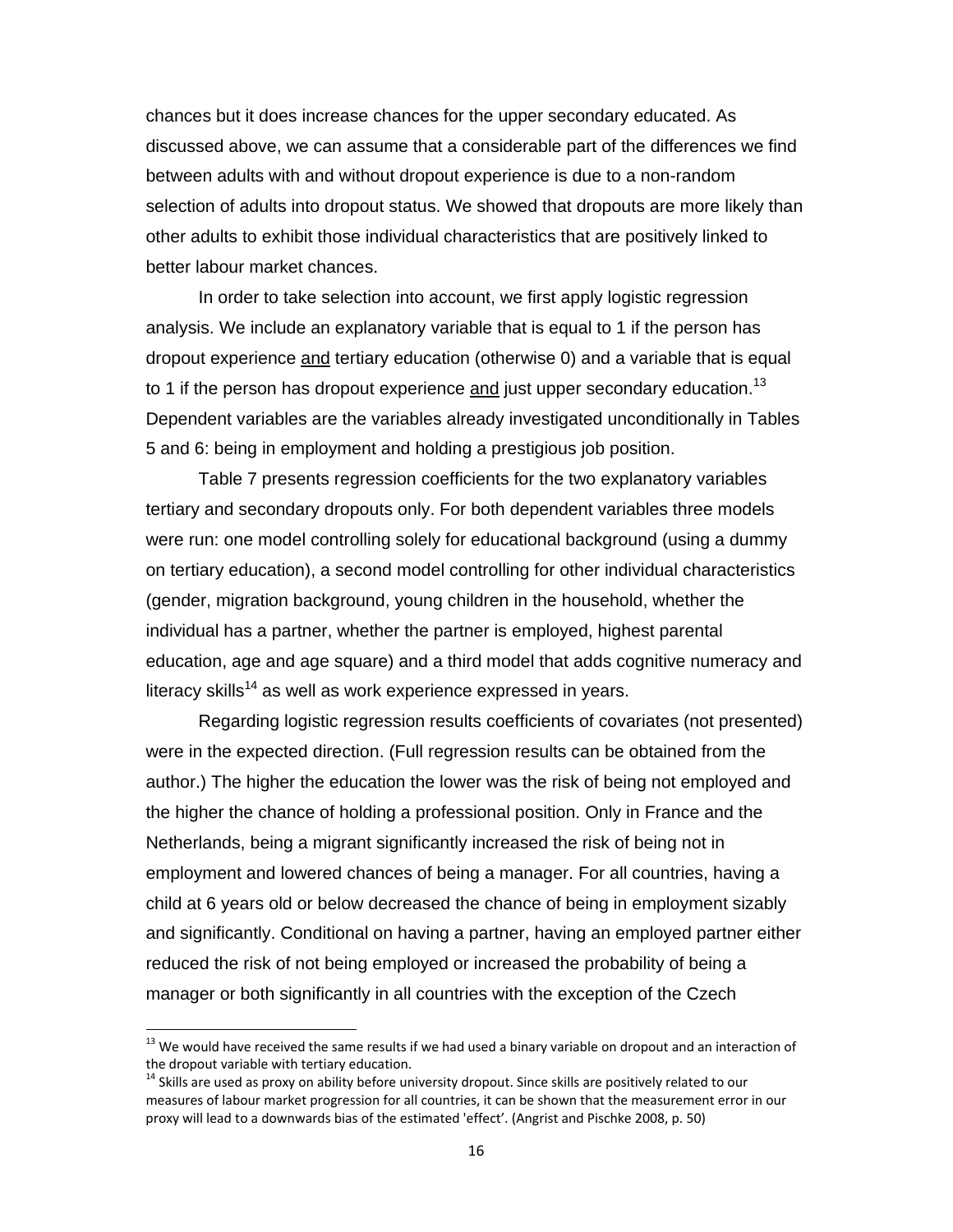chances but it does increase chances for the upper secondary educated. As discussed above, we can assume that a considerable part of the differences we find between adults with and without dropout experience is due to a non-random selection of adults into dropout status. We showed that dropouts are more likely than other adults to exhibit those individual characteristics that are positively linked to better labour market chances.

In order to take selection into account, we first apply logistic regression analysis. We include an explanatory variable that is equal to 1 if the person has dropout experience and tertiary education (otherwise 0) and a variable that is equal to 1 if the person has dropout experience and just upper secondary education.<sup>13</sup> Dependent variables are the variables already investigated unconditionally in Tables 5 and 6: being in employment and holding a prestigious job position.

Table 7 presents regression coefficients for the two explanatory variables tertiary and secondary dropouts only. For both dependent variables three models were run: one model controlling solely for educational background (using a dummy on tertiary education), a second model controlling for other individual characteristics (gender, migration background, young children in the household, whether the individual has a partner, whether the partner is employed, highest parental education, age and age square) and a third model that adds cognitive numeracy and literacy skills<sup>14</sup> as well as work experience expressed in years.

Regarding logistic regression results coefficients of covariates (not presented) were in the expected direction. (Full regression results can be obtained from the author.) The higher the education the lower was the risk of being not employed and the higher the chance of holding a professional position. Only in France and the Netherlands, being a migrant significantly increased the risk of being not in employment and lowered chances of being a manager. For all countries, having a child at 6 years old or below decreased the chance of being in employment sizably and significantly. Conditional on having a partner, having an employed partner either reduced the risk of not being employed or increased the probability of being a manager or both significantly in all countries with the exception of the Czech

 $^{13}$  We would have received the same results if we had used a binary variable on dropout and an interaction of the dropout variable with tertiary education.<br><sup>14</sup> Skills are used as proxy on ability before university dropout. Since skills are positively related to our

measures of labour market progression for all countries, it can be shown that the measurement error in our proxy will lead to a downwards bias of the estimated 'effect'. (Angrist and Pischke 2008, p. 50)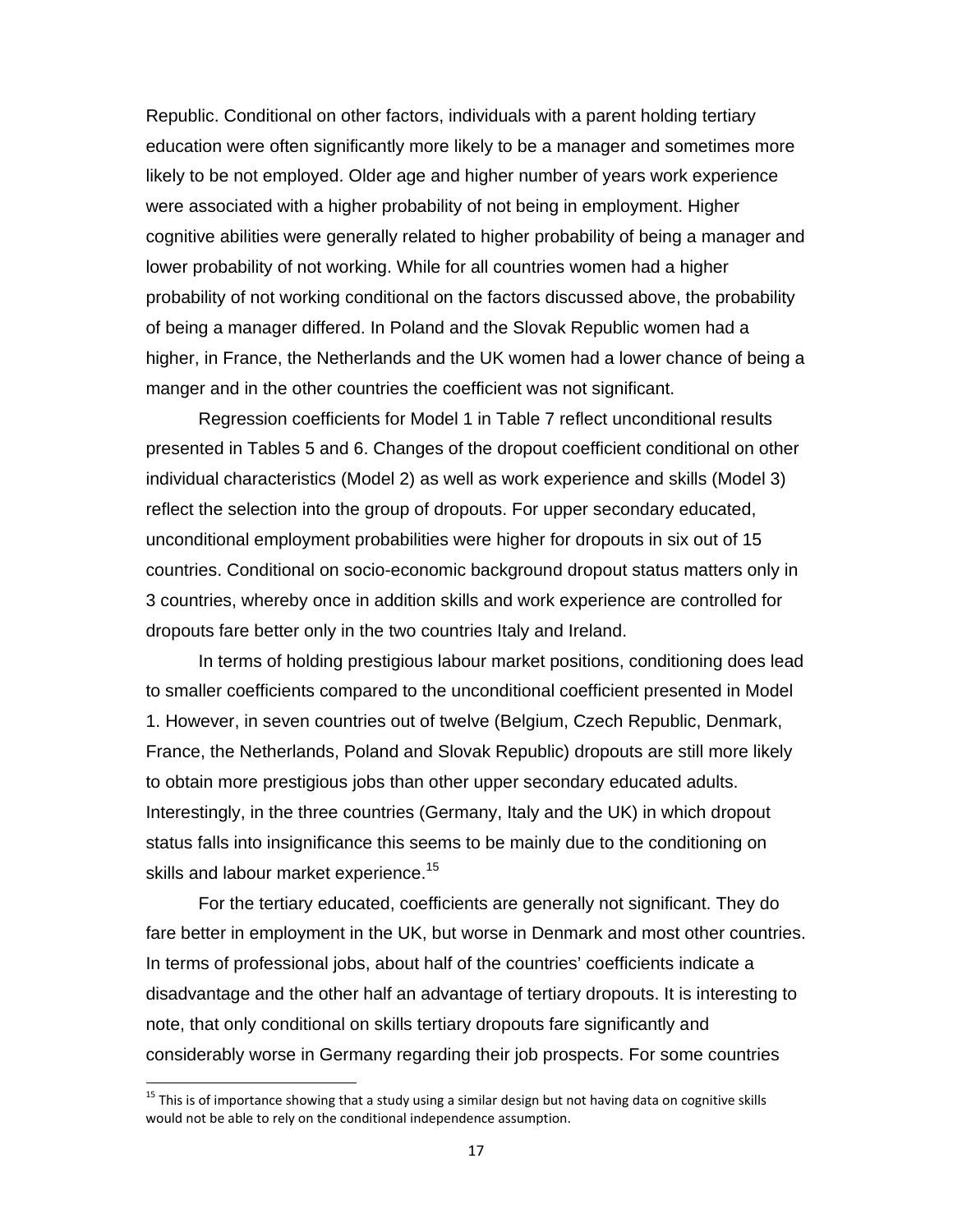Republic. Conditional on other factors, individuals with a parent holding tertiary education were often significantly more likely to be a manager and sometimes more likely to be not employed. Older age and higher number of years work experience were associated with a higher probability of not being in employment. Higher cognitive abilities were generally related to higher probability of being a manager and lower probability of not working. While for all countries women had a higher probability of not working conditional on the factors discussed above, the probability of being a manager differed. In Poland and the Slovak Republic women had a higher, in France, the Netherlands and the UK women had a lower chance of being a manger and in the other countries the coefficient was not significant.

 Regression coefficients for Model 1 in Table 7 reflect unconditional results presented in Tables 5 and 6. Changes of the dropout coefficient conditional on other individual characteristics (Model 2) as well as work experience and skills (Model 3) reflect the selection into the group of dropouts. For upper secondary educated, unconditional employment probabilities were higher for dropouts in six out of 15 countries. Conditional on socio-economic background dropout status matters only in 3 countries, whereby once in addition skills and work experience are controlled for dropouts fare better only in the two countries Italy and Ireland.

 In terms of holding prestigious labour market positions, conditioning does lead to smaller coefficients compared to the unconditional coefficient presented in Model 1. However, in seven countries out of twelve (Belgium, Czech Republic, Denmark, France, the Netherlands, Poland and Slovak Republic) dropouts are still more likely to obtain more prestigious jobs than other upper secondary educated adults. Interestingly, in the three countries (Germany, Italy and the UK) in which dropout status falls into insignificance this seems to be mainly due to the conditioning on skills and labour market experience.<sup>15</sup>

 For the tertiary educated, coefficients are generally not significant. They do fare better in employment in the UK, but worse in Denmark and most other countries. In terms of professional jobs, about half of the countries' coefficients indicate a disadvantage and the other half an advantage of tertiary dropouts. It is interesting to note, that only conditional on skills tertiary dropouts fare significantly and considerably worse in Germany regarding their job prospects. For some countries

<sup>&</sup>lt;sup>15</sup> This is of importance showing that a study using a similar design but not having data on cognitive skills would not be able to rely on the conditional independence assumption.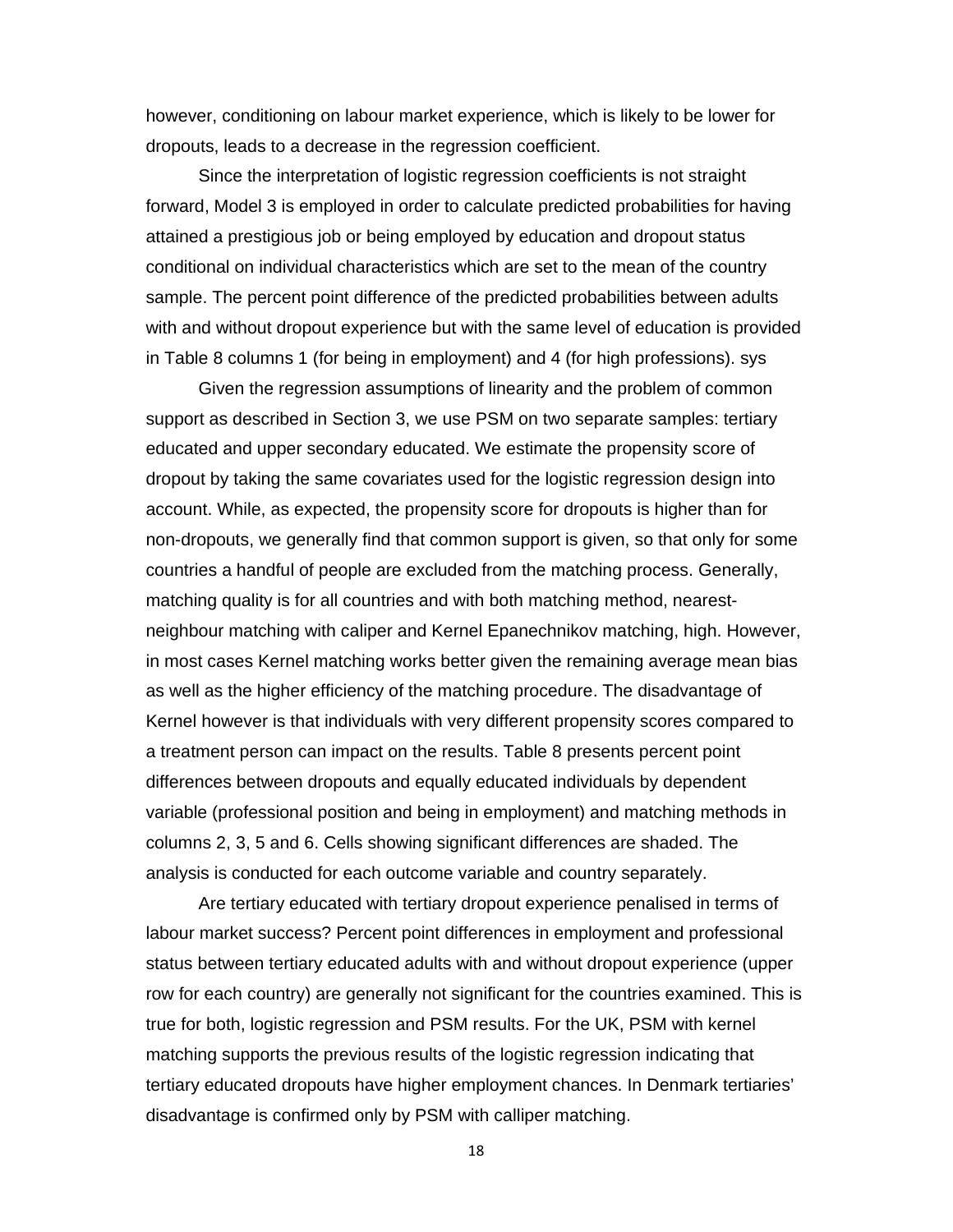however, conditioning on labour market experience, which is likely to be lower for dropouts, leads to a decrease in the regression coefficient.

 Since the interpretation of logistic regression coefficients is not straight forward, Model 3 is employed in order to calculate predicted probabilities for having attained a prestigious job or being employed by education and dropout status conditional on individual characteristics which are set to the mean of the country sample. The percent point difference of the predicted probabilities between adults with and without dropout experience but with the same level of education is provided in Table 8 columns 1 (for being in employment) and 4 (for high professions). sys

 Given the regression assumptions of linearity and the problem of common support as described in Section 3, we use PSM on two separate samples: tertiary educated and upper secondary educated. We estimate the propensity score of dropout by taking the same covariates used for the logistic regression design into account. While, as expected, the propensity score for dropouts is higher than for non-dropouts, we generally find that common support is given, so that only for some countries a handful of people are excluded from the matching process. Generally, matching quality is for all countries and with both matching method, nearestneighbour matching with caliper and Kernel Epanechnikov matching, high. However, in most cases Kernel matching works better given the remaining average mean bias as well as the higher efficiency of the matching procedure. The disadvantage of Kernel however is that individuals with very different propensity scores compared to a treatment person can impact on the results. Table 8 presents percent point differences between dropouts and equally educated individuals by dependent variable (professional position and being in employment) and matching methods in columns 2, 3, 5 and 6. Cells showing significant differences are shaded. The analysis is conducted for each outcome variable and country separately.

Are tertiary educated with tertiary dropout experience penalised in terms of labour market success? Percent point differences in employment and professional status between tertiary educated adults with and without dropout experience (upper row for each country) are generally not significant for the countries examined. This is true for both, logistic regression and PSM results. For the UK, PSM with kernel matching supports the previous results of the logistic regression indicating that tertiary educated dropouts have higher employment chances. In Denmark tertiaries' disadvantage is confirmed only by PSM with calliper matching.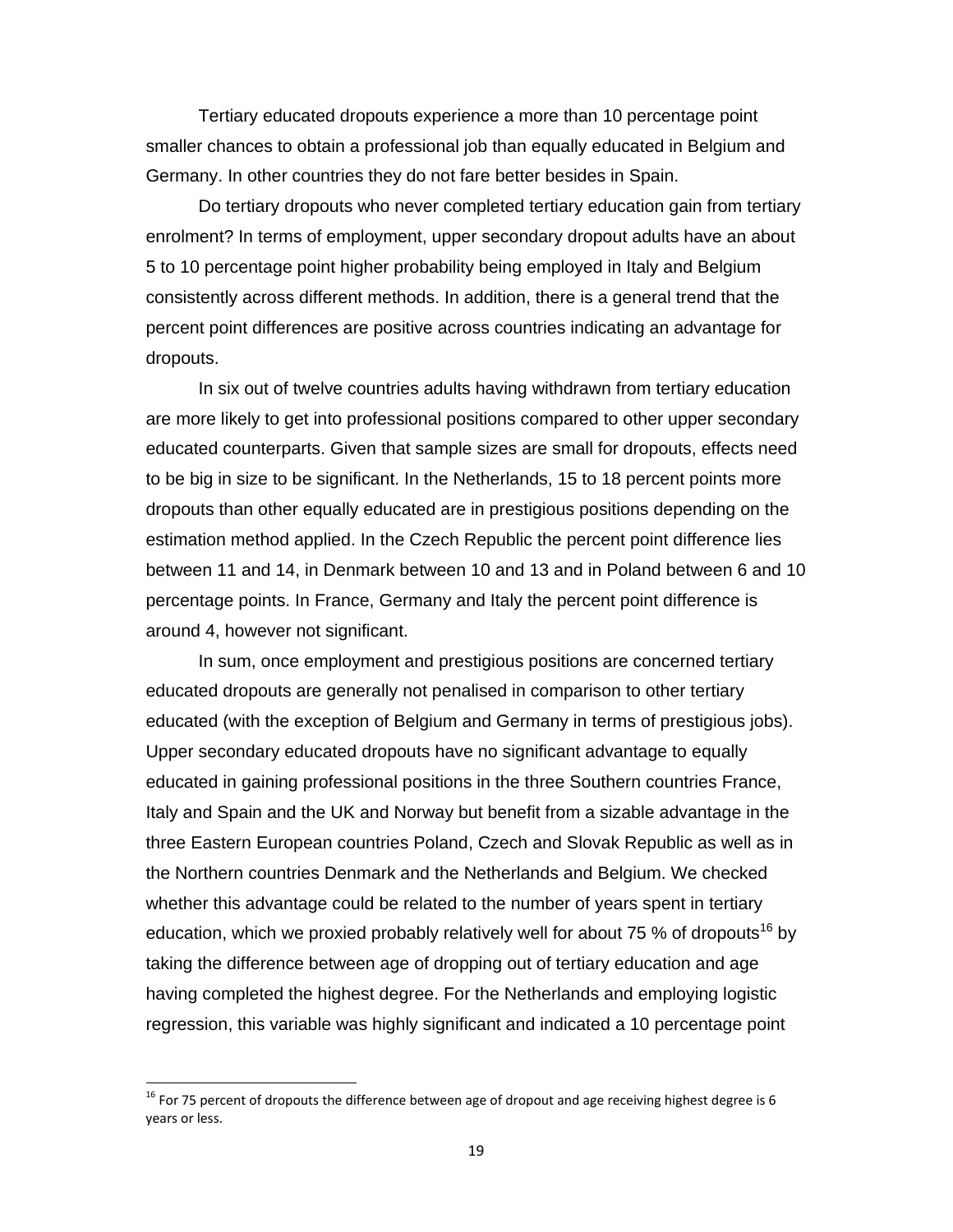Tertiary educated dropouts experience a more than 10 percentage point smaller chances to obtain a professional job than equally educated in Belgium and Germany. In other countries they do not fare better besides in Spain.

Do tertiary dropouts who never completed tertiary education gain from tertiary enrolment? In terms of employment, upper secondary dropout adults have an about 5 to 10 percentage point higher probability being employed in Italy and Belgium consistently across different methods. In addition, there is a general trend that the percent point differences are positive across countries indicating an advantage for dropouts.

In six out of twelve countries adults having withdrawn from tertiary education are more likely to get into professional positions compared to other upper secondary educated counterparts. Given that sample sizes are small for dropouts, effects need to be big in size to be significant. In the Netherlands, 15 to 18 percent points more dropouts than other equally educated are in prestigious positions depending on the estimation method applied. In the Czech Republic the percent point difference lies between 11 and 14, in Denmark between 10 and 13 and in Poland between 6 and 10 percentage points. In France, Germany and Italy the percent point difference is around 4, however not significant.

In sum, once employment and prestigious positions are concerned tertiary educated dropouts are generally not penalised in comparison to other tertiary educated (with the exception of Belgium and Germany in terms of prestigious jobs). Upper secondary educated dropouts have no significant advantage to equally educated in gaining professional positions in the three Southern countries France, Italy and Spain and the UK and Norway but benefit from a sizable advantage in the three Eastern European countries Poland, Czech and Slovak Republic as well as in the Northern countries Denmark and the Netherlands and Belgium. We checked whether this advantage could be related to the number of years spent in tertiary education, which we proxied probably relatively well for about 75 % of dropouts<sup>16</sup> by taking the difference between age of dropping out of tertiary education and age having completed the highest degree. For the Netherlands and employing logistic regression, this variable was highly significant and indicated a 10 percentage point

 $16$  For 75 percent of dropouts the difference between age of dropout and age receiving highest degree is 6 years or less.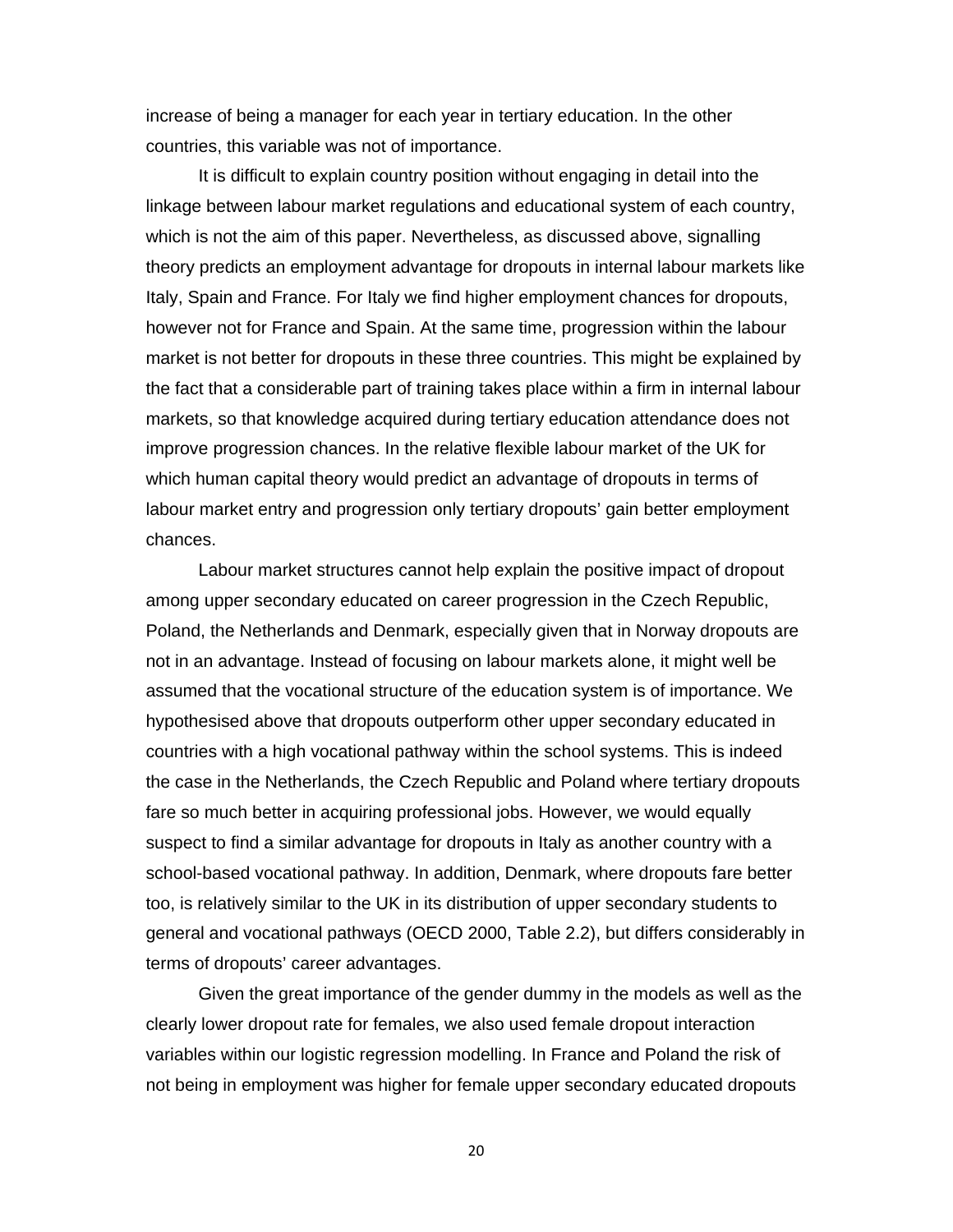increase of being a manager for each year in tertiary education. In the other countries, this variable was not of importance.

It is difficult to explain country position without engaging in detail into the linkage between labour market regulations and educational system of each country, which is not the aim of this paper. Nevertheless, as discussed above, signalling theory predicts an employment advantage for dropouts in internal labour markets like Italy, Spain and France. For Italy we find higher employment chances for dropouts, however not for France and Spain. At the same time, progression within the labour market is not better for dropouts in these three countries. This might be explained by the fact that a considerable part of training takes place within a firm in internal labour markets, so that knowledge acquired during tertiary education attendance does not improve progression chances. In the relative flexible labour market of the UK for which human capital theory would predict an advantage of dropouts in terms of labour market entry and progression only tertiary dropouts' gain better employment chances.

Labour market structures cannot help explain the positive impact of dropout among upper secondary educated on career progression in the Czech Republic, Poland, the Netherlands and Denmark, especially given that in Norway dropouts are not in an advantage. Instead of focusing on labour markets alone, it might well be assumed that the vocational structure of the education system is of importance. We hypothesised above that dropouts outperform other upper secondary educated in countries with a high vocational pathway within the school systems. This is indeed the case in the Netherlands, the Czech Republic and Poland where tertiary dropouts fare so much better in acquiring professional jobs. However, we would equally suspect to find a similar advantage for dropouts in Italy as another country with a school-based vocational pathway. In addition, Denmark, where dropouts fare better too, is relatively similar to the UK in its distribution of upper secondary students to general and vocational pathways (OECD 2000, Table 2.2), but differs considerably in terms of dropouts' career advantages.

Given the great importance of the gender dummy in the models as well as the clearly lower dropout rate for females, we also used female dropout interaction variables within our logistic regression modelling. In France and Poland the risk of not being in employment was higher for female upper secondary educated dropouts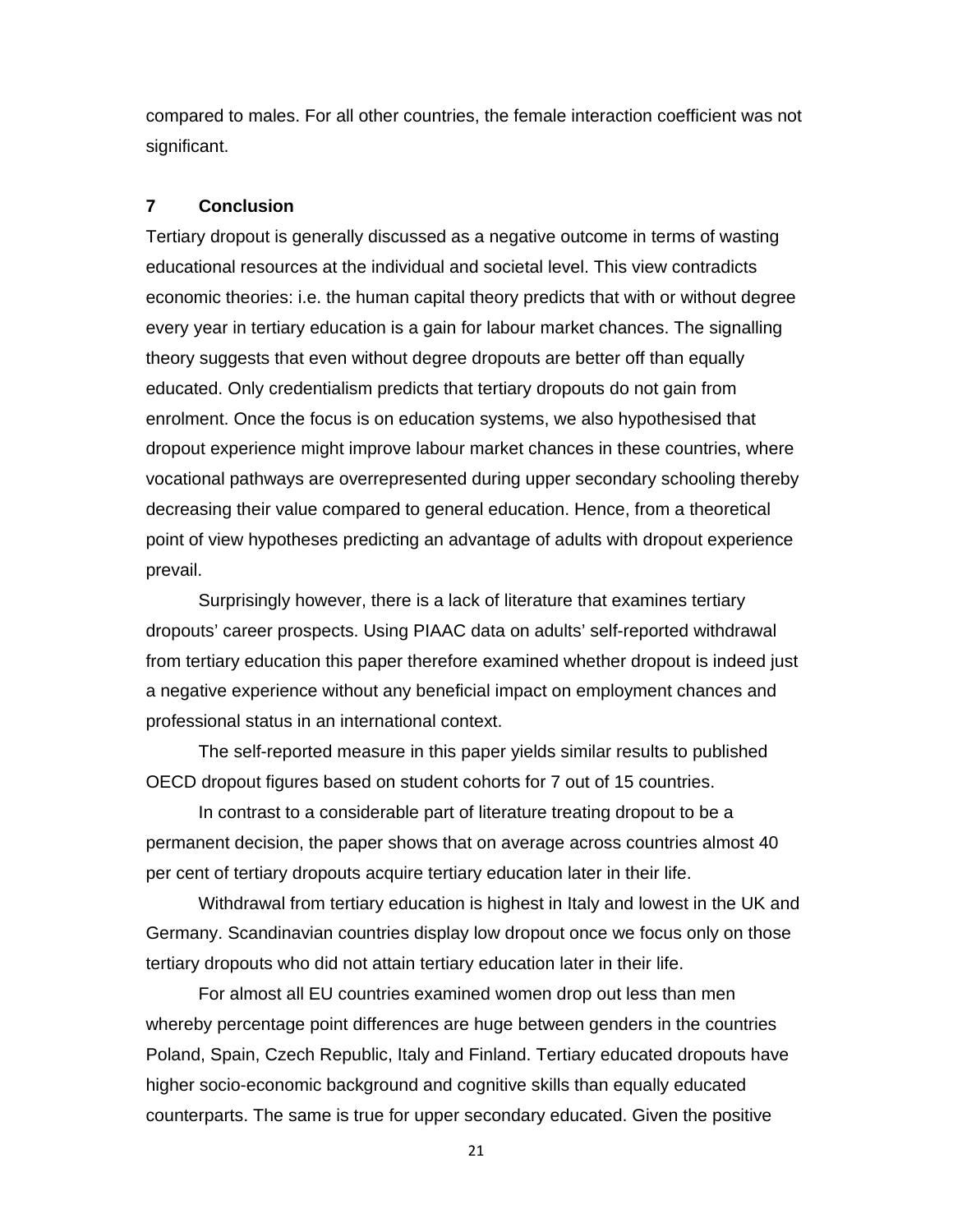compared to males. For all other countries, the female interaction coefficient was not significant.

#### **7 Conclusion**

Tertiary dropout is generally discussed as a negative outcome in terms of wasting educational resources at the individual and societal level. This view contradicts economic theories: i.e. the human capital theory predicts that with or without degree every year in tertiary education is a gain for labour market chances. The signalling theory suggests that even without degree dropouts are better off than equally educated. Only credentialism predicts that tertiary dropouts do not gain from enrolment. Once the focus is on education systems, we also hypothesised that dropout experience might improve labour market chances in these countries, where vocational pathways are overrepresented during upper secondary schooling thereby decreasing their value compared to general education. Hence, from a theoretical point of view hypotheses predicting an advantage of adults with dropout experience prevail.

Surprisingly however, there is a lack of literature that examines tertiary dropouts' career prospects. Using PIAAC data on adults' self-reported withdrawal from tertiary education this paper therefore examined whether dropout is indeed just a negative experience without any beneficial impact on employment chances and professional status in an international context.

The self-reported measure in this paper yields similar results to published OECD dropout figures based on student cohorts for 7 out of 15 countries.

 In contrast to a considerable part of literature treating dropout to be a permanent decision, the paper shows that on average across countries almost 40 per cent of tertiary dropouts acquire tertiary education later in their life.

 Withdrawal from tertiary education is highest in Italy and lowest in the UK and Germany. Scandinavian countries display low dropout once we focus only on those tertiary dropouts who did not attain tertiary education later in their life.

For almost all EU countries examined women drop out less than men whereby percentage point differences are huge between genders in the countries Poland, Spain, Czech Republic, Italy and Finland. Tertiary educated dropouts have higher socio-economic background and cognitive skills than equally educated counterparts. The same is true for upper secondary educated. Given the positive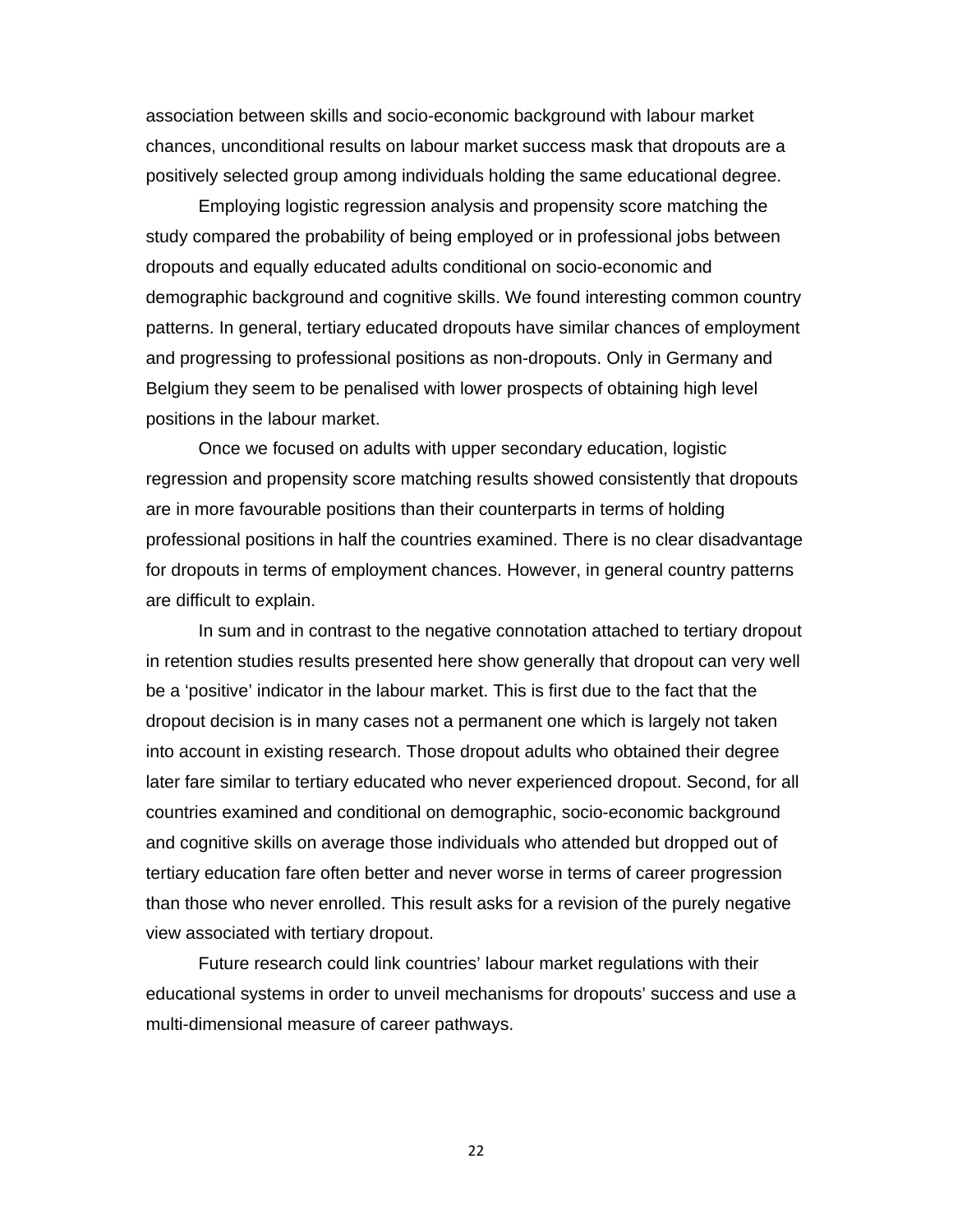association between skills and socio-economic background with labour market chances, unconditional results on labour market success mask that dropouts are a positively selected group among individuals holding the same educational degree.

 Employing logistic regression analysis and propensity score matching the study compared the probability of being employed or in professional jobs between dropouts and equally educated adults conditional on socio-economic and demographic background and cognitive skills. We found interesting common country patterns. In general, tertiary educated dropouts have similar chances of employment and progressing to professional positions as non-dropouts. Only in Germany and Belgium they seem to be penalised with lower prospects of obtaining high level positions in the labour market.

 Once we focused on adults with upper secondary education, logistic regression and propensity score matching results showed consistently that dropouts are in more favourable positions than their counterparts in terms of holding professional positions in half the countries examined. There is no clear disadvantage for dropouts in terms of employment chances. However, in general country patterns are difficult to explain.

 In sum and in contrast to the negative connotation attached to tertiary dropout in retention studies results presented here show generally that dropout can very well be a 'positive' indicator in the labour market. This is first due to the fact that the dropout decision is in many cases not a permanent one which is largely not taken into account in existing research. Those dropout adults who obtained their degree later fare similar to tertiary educated who never experienced dropout. Second, for all countries examined and conditional on demographic, socio-economic background and cognitive skills on average those individuals who attended but dropped out of tertiary education fare often better and never worse in terms of career progression than those who never enrolled. This result asks for a revision of the purely negative view associated with tertiary dropout.

 Future research could link countries' labour market regulations with their educational systems in order to unveil mechanisms for dropouts' success and use a multi-dimensional measure of career pathways.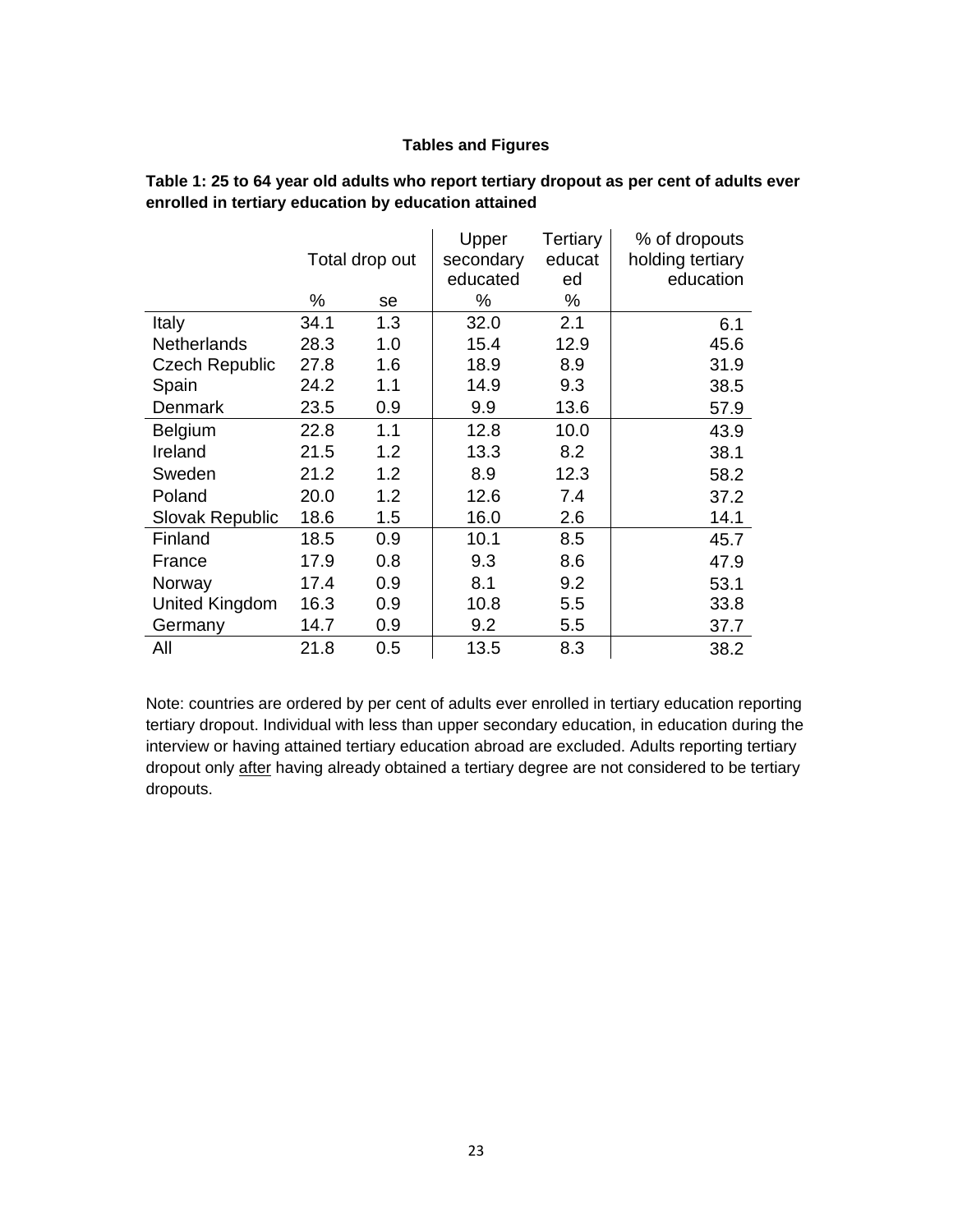#### **Tables and Figures**

|                       |      |                | Upper     | Tertiary | % of dropouts    |
|-----------------------|------|----------------|-----------|----------|------------------|
|                       |      | Total drop out | secondary | educat   | holding tertiary |
|                       |      |                | educated  | ed       | education        |
|                       | %    | se             | %         | ℅        |                  |
| Italy                 | 34.1 | 1.3            | 32.0      | 2.1      | 6.1              |
| <b>Netherlands</b>    | 28.3 | 1.0            | 15.4      | 12.9     | 45.6             |
| <b>Czech Republic</b> | 27.8 | 1.6            | 18.9      | 8.9      | 31.9             |
| Spain                 | 24.2 | 1.1            | 14.9      | 9.3      | 38.5             |
| Denmark               | 23.5 | 0.9            | 9.9       | 13.6     | 57.9             |
| <b>Belgium</b>        | 22.8 | 1.1            | 12.8      | 10.0     | 43.9             |
| Ireland               | 21.5 | 1.2            | 13.3      | 8.2      | 38.1             |
| Sweden                | 21.2 | 1.2            | 8.9       | 12.3     | 58.2             |
| Poland                | 20.0 | 1.2            | 12.6      | 7.4      | 37.2             |
| Slovak Republic       | 18.6 | 1.5            | 16.0      | 2.6      | 14.1             |
| Finland               | 18.5 | 0.9            | 10.1      | 8.5      | 45.7             |
| France                | 17.9 | 0.8            | 9.3       | 8.6      | 47.9             |
| Norway                | 17.4 | 0.9            | 8.1       | 9.2      | 53.1             |
| United Kingdom        | 16.3 | 0.9            | 10.8      | 5.5      | 33.8             |
| Germany               | 14.7 | 0.9            | 9.2       | 5.5      | 37.7             |
| All                   | 21.8 | 0.5            | 13.5      | 8.3      | 38.2             |

**Table 1: 25 to 64 year old adults who report tertiary dropout as per cent of adults ever enrolled in tertiary education by education attained** 

Note: countries are ordered by per cent of adults ever enrolled in tertiary education reporting tertiary dropout. Individual with less than upper secondary education, in education during the interview or having attained tertiary education abroad are excluded. Adults reporting tertiary dropout only after having already obtained a tertiary degree are not considered to be tertiary dropouts.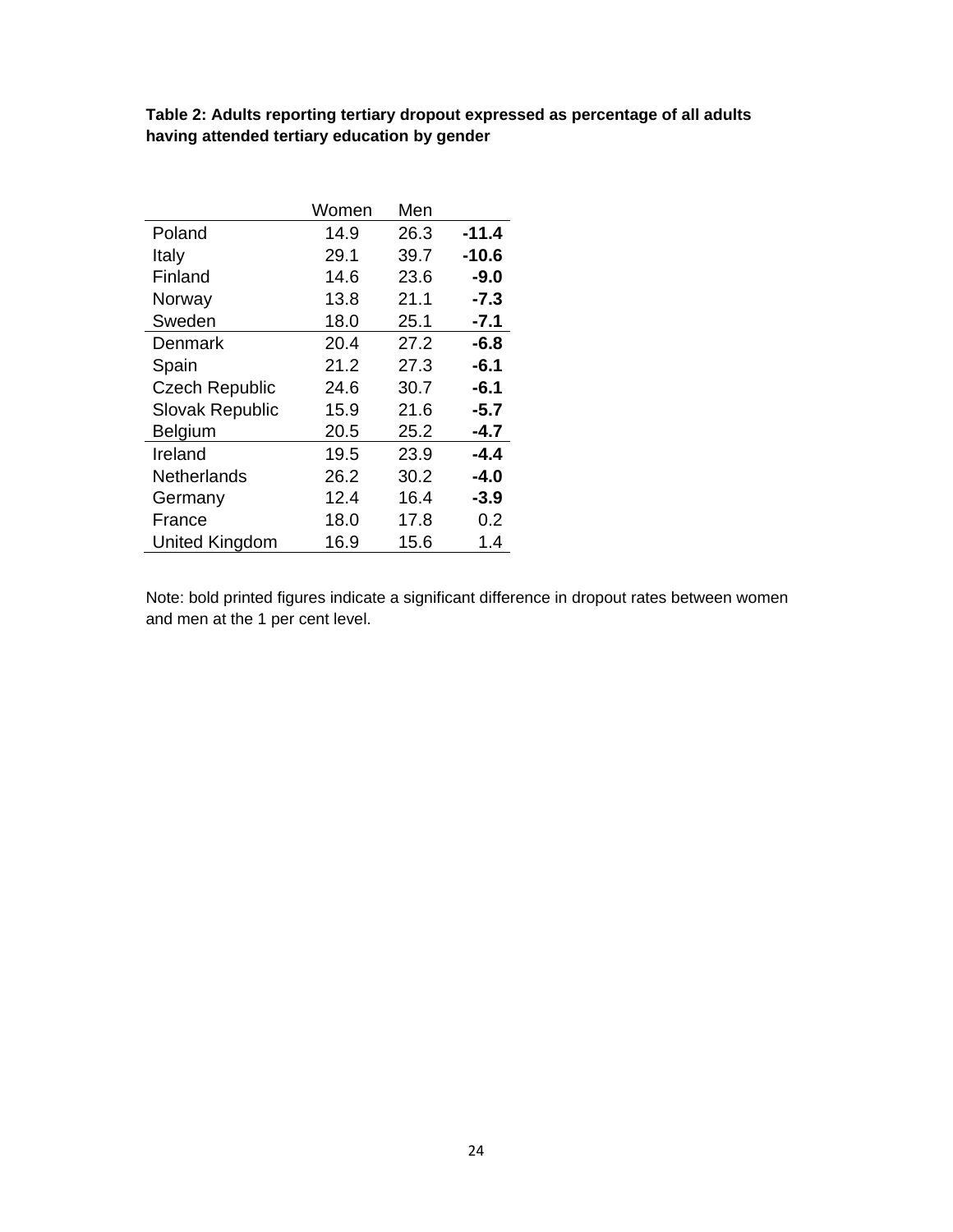| Table 2: Adults reporting tertiary dropout expressed as percentage of all adults |  |  |
|----------------------------------------------------------------------------------|--|--|
| having attended tertiary education by gender                                     |  |  |

|                       | Women | Men  |         |
|-----------------------|-------|------|---------|
| Poland                | 14.9  | 26.3 | $-11.4$ |
| Italy                 | 29.1  | 39.7 | $-10.6$ |
| Finland               | 14.6  | 23.6 | $-9.0$  |
| Norway                | 13.8  | 21.1 | $-7.3$  |
| Sweden                | 18.0  | 25.1 | $-7.1$  |
| Denmark               | 20.4  | 27.2 | $-6.8$  |
| Spain                 | 21.2  | 27.3 | $-6.1$  |
| <b>Czech Republic</b> | 24.6  | 30.7 | $-6.1$  |
| Slovak Republic       | 15.9  | 21.6 | $-5.7$  |
| Belgium               | 20.5  | 25.2 | $-4.7$  |
| Ireland               | 19.5  | 23.9 | $-4.4$  |
| <b>Netherlands</b>    | 26.2  | 30.2 | $-4.0$  |
| Germany               | 12.4  | 16.4 | $-3.9$  |
| France                | 18.0  | 17.8 | 0.2     |
| <b>United Kingdom</b> | 16.9  | 15.6 | 1.4     |

Note: bold printed figures indicate a significant difference in dropout rates between women and men at the 1 per cent level.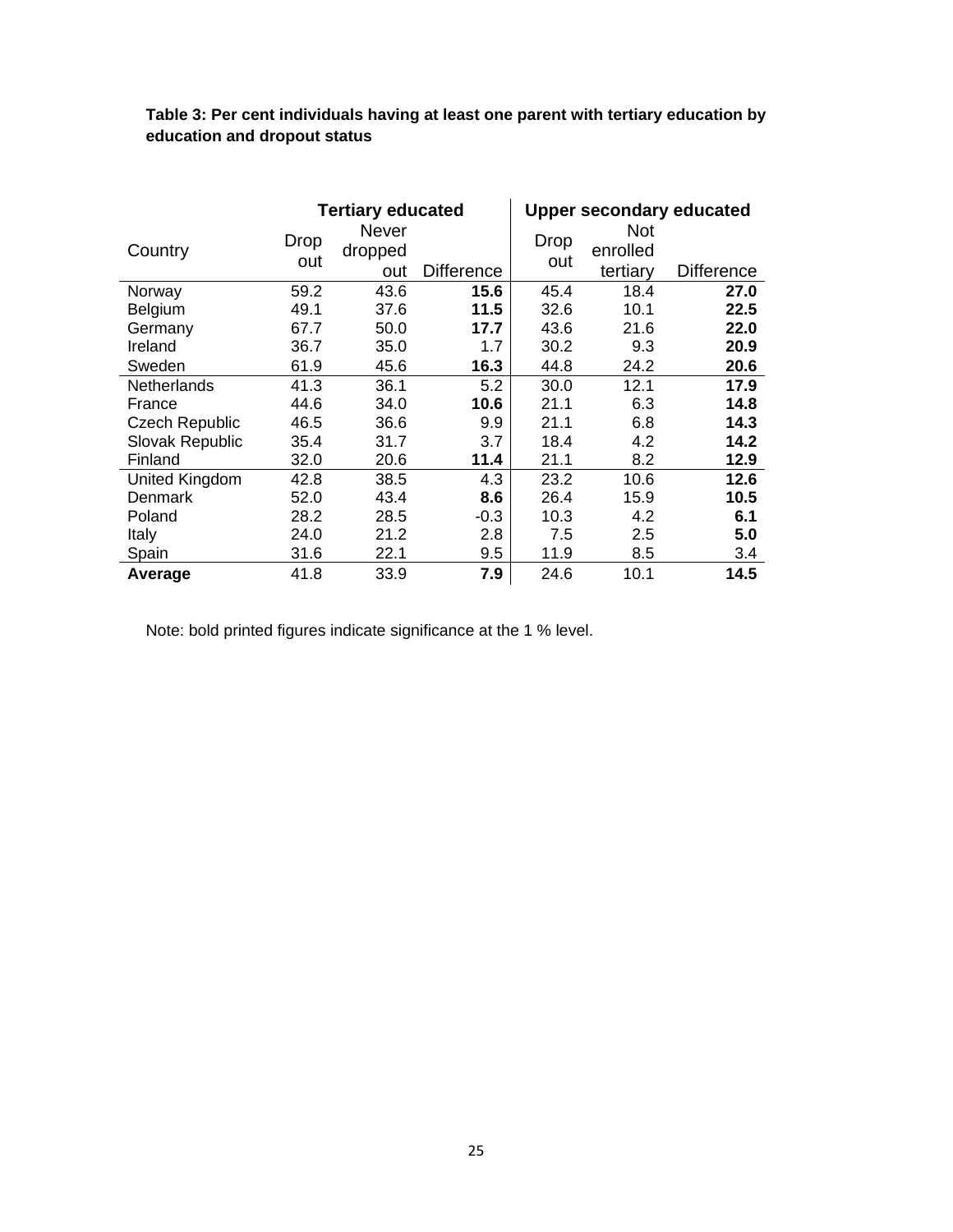|                       | <b>Tertiary educated</b> |         |                   |      |            | <b>Upper secondary educated</b> |
|-----------------------|--------------------------|---------|-------------------|------|------------|---------------------------------|
|                       | <b>Drop</b>              | Never   |                   | Drop | <b>Not</b> |                                 |
| Country               | out                      | dropped |                   | out  | enrolled   |                                 |
|                       |                          | out     | <b>Difference</b> |      | tertiary   | <b>Difference</b>               |
| Norway                | 59.2                     | 43.6    | 15.6              | 45.4 | 18.4       | 27.0                            |
| Belgium               | 49.1                     | 37.6    | 11.5              | 32.6 | 10.1       | 22.5                            |
| Germany               | 67.7                     | 50.0    | 17.7              | 43.6 | 21.6       | 22.0                            |
| Ireland               | 36.7                     | 35.0    | 1.7               | 30.2 | 9.3        | 20.9                            |
| Sweden                | 61.9                     | 45.6    | 16.3              | 44.8 | 24.2       | 20.6                            |
| <b>Netherlands</b>    | 41.3                     | 36.1    | 5.2               | 30.0 | 12.1       | 17.9                            |
| France                | 44.6                     | 34.0    | 10.6              | 21.1 | 6.3        | 14.8                            |
| <b>Czech Republic</b> | 46.5                     | 36.6    | 9.9               | 21.1 | 6.8        | 14.3                            |
| Slovak Republic       | 35.4                     | 31.7    | 3.7               | 18.4 | 4.2        | 14.2                            |
| Finland               | 32.0                     | 20.6    | 11.4              | 21.1 | 8.2        | 12.9                            |
| United Kingdom        | 42.8                     | 38.5    | 4.3               | 23.2 | 10.6       | 12.6                            |
| Denmark               | 52.0                     | 43.4    | 8.6               | 26.4 | 15.9       | 10.5                            |
| Poland                | 28.2                     | 28.5    | $-0.3$            | 10.3 | 4.2        | 6.1                             |
| Italy                 | 24.0                     | 21.2    | 2.8               | 7.5  | 2.5        | 5.0                             |
| Spain                 | 31.6                     | 22.1    | 9.5               | 11.9 | 8.5        | 3.4                             |
| Average               | 41.8                     | 33.9    | 7.9               | 24.6 | 10.1       | 14.5                            |

**Table 3: Per cent individuals having at least one parent with tertiary education by education and dropout status** 

Note: bold printed figures indicate significance at the 1 % level.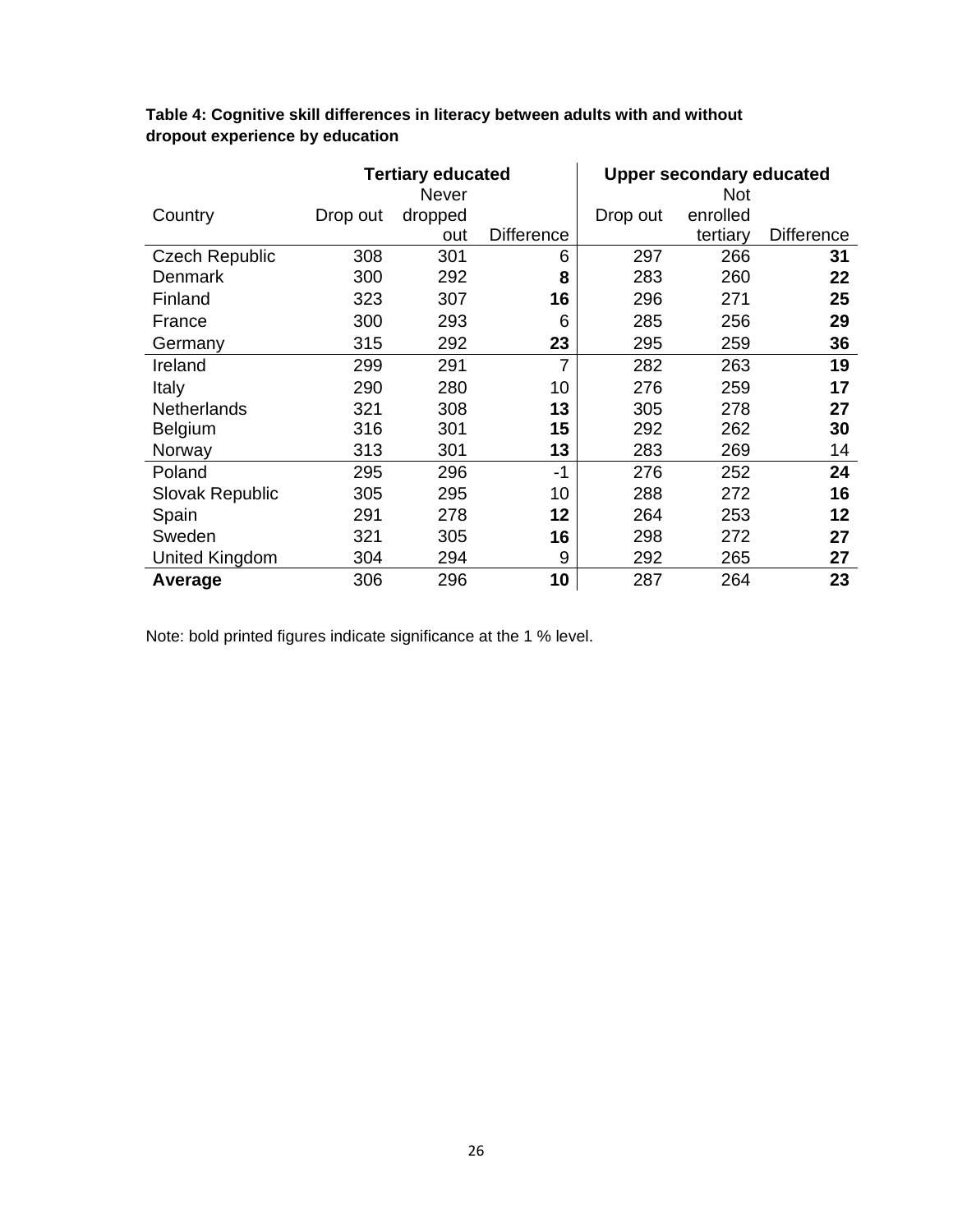|                        | <b>Tertiary educated</b> |                  |                   |          | <b>Upper secondary educated</b> |                   |
|------------------------|--------------------------|------------------|-------------------|----------|---------------------------------|-------------------|
| Country                | Drop out                 | Never<br>dropped |                   | Drop out | <b>Not</b><br>enrolled          |                   |
|                        |                          | out              | <b>Difference</b> |          | tertiary                        | <b>Difference</b> |
| <b>Czech Republic</b>  | 308                      | 301              | 6                 | 297      | 266                             | 31                |
| <b>Denmark</b>         | 300                      | 292              | 8                 | 283      | 260                             | 22                |
| Finland                | 323                      | 307              | 16                | 296      | 271                             | 25                |
| France                 | 300                      | 293              | 6                 | 285      | 256                             | 29                |
| Germany                | 315                      | 292              | 23                | 295      | 259                             | 36                |
| Ireland                | 299                      | 291              | 7                 | 282      | 263                             | 19                |
| Italy                  | 290                      | 280              | 10                | 276      | 259                             | 17                |
| <b>Netherlands</b>     | 321                      | 308              | 13                | 305      | 278                             | 27                |
| <b>Belgium</b>         | 316                      | 301              | 15                | 292      | 262                             | 30                |
| Norway                 | 313                      | 301              | 13                | 283      | 269                             | 14                |
| Poland                 | 295                      | 296              | $-1$              | 276      | 252                             | 24                |
| <b>Slovak Republic</b> | 305                      | 295              | 10                | 288      | 272                             | 16                |
| Spain                  | 291                      | 278              | 12                | 264      | 253                             | 12                |
| Sweden                 | 321                      | 305              | 16                | 298      | 272                             | 27                |
| <b>United Kingdom</b>  | 304                      | 294              | 9                 | 292      | 265                             | 27                |
| Average                | 306                      | 296              | 10                | 287      | 264                             | 23                |

### **Table 4: Cognitive skill differences in literacy between adults with and without dropout experience by education**

Note: bold printed figures indicate significance at the 1 % level.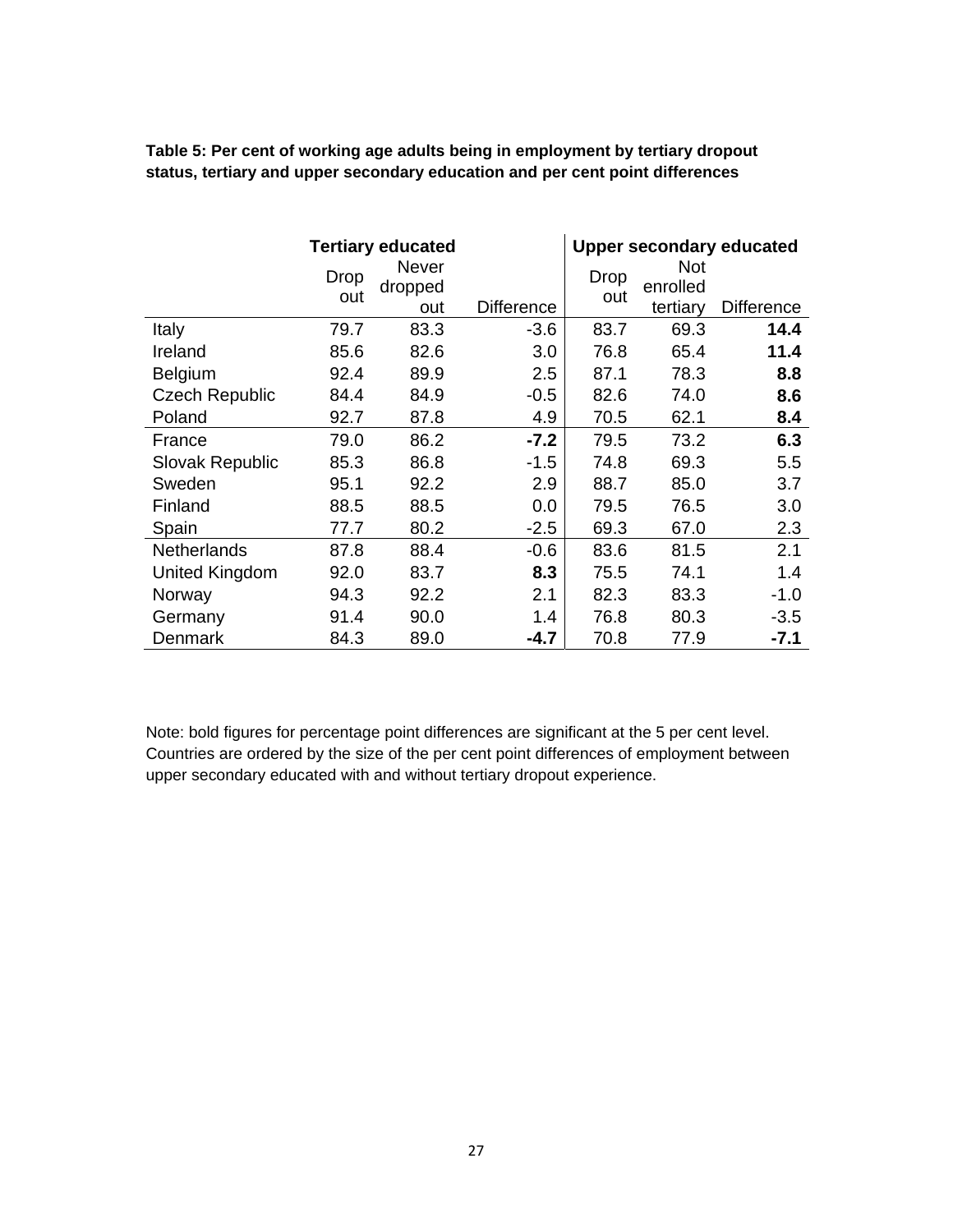|                       | <b>Tertiary educated</b> |                         |                   | <b>Upper secondary educated</b> |                        |            |  |
|-----------------------|--------------------------|-------------------------|-------------------|---------------------------------|------------------------|------------|--|
|                       | Drop<br>out              | <b>Never</b><br>dropped |                   | <b>Drop</b><br>out              | <b>Not</b><br>enrolled |            |  |
|                       |                          | out                     | <b>Difference</b> |                                 | tertiary               | Difference |  |
| Italy                 | 79.7                     | 83.3                    | $-3.6$            | 83.7                            | 69.3                   | 14.4       |  |
| Ireland               | 85.6                     | 82.6                    | 3.0               | 76.8                            | 65.4                   | 11.4       |  |
| Belgium               | 92.4                     | 89.9                    | 2.5               | 87.1                            | 78.3                   | 8.8        |  |
| <b>Czech Republic</b> | 84.4                     | 84.9                    | $-0.5$            | 82.6                            | 74.0                   | 8.6        |  |
| Poland                | 92.7                     | 87.8                    | 4.9               | 70.5                            | 62.1                   | 8.4        |  |
| France                | 79.0                     | 86.2                    | $-7.2$            | 79.5                            | 73.2                   | 6.3        |  |
| Slovak Republic       | 85.3                     | 86.8                    | $-1.5$            | 74.8                            | 69.3                   | 5.5        |  |
| Sweden                | 95.1                     | 92.2                    | 2.9               | 88.7                            | 85.0                   | 3.7        |  |
| Finland               | 88.5                     | 88.5                    | 0.0               | 79.5                            | 76.5                   | 3.0        |  |
| Spain                 | 77.7                     | 80.2                    | $-2.5$            | 69.3                            | 67.0                   | 2.3        |  |
| <b>Netherlands</b>    | 87.8                     | 88.4                    | $-0.6$            | 83.6                            | 81.5                   | 2.1        |  |
| <b>United Kingdom</b> | 92.0                     | 83.7                    | 8.3               | 75.5                            | 74.1                   | 1.4        |  |
| Norway                | 94.3                     | 92.2                    | 2.1               | 82.3                            | 83.3                   | $-1.0$     |  |
| Germany               | 91.4                     | 90.0                    | 1.4               | 76.8                            | 80.3                   | $-3.5$     |  |
| Denmark               | 84.3                     | 89.0                    | -4.7              | 70.8                            | 77.9                   | -7.1       |  |

**Table 5: Per cent of working age adults being in employment by tertiary dropout status, tertiary and upper secondary education and per cent point differences** 

Note: bold figures for percentage point differences are significant at the 5 per cent level. Countries are ordered by the size of the per cent point differences of employment between upper secondary educated with and without tertiary dropout experience.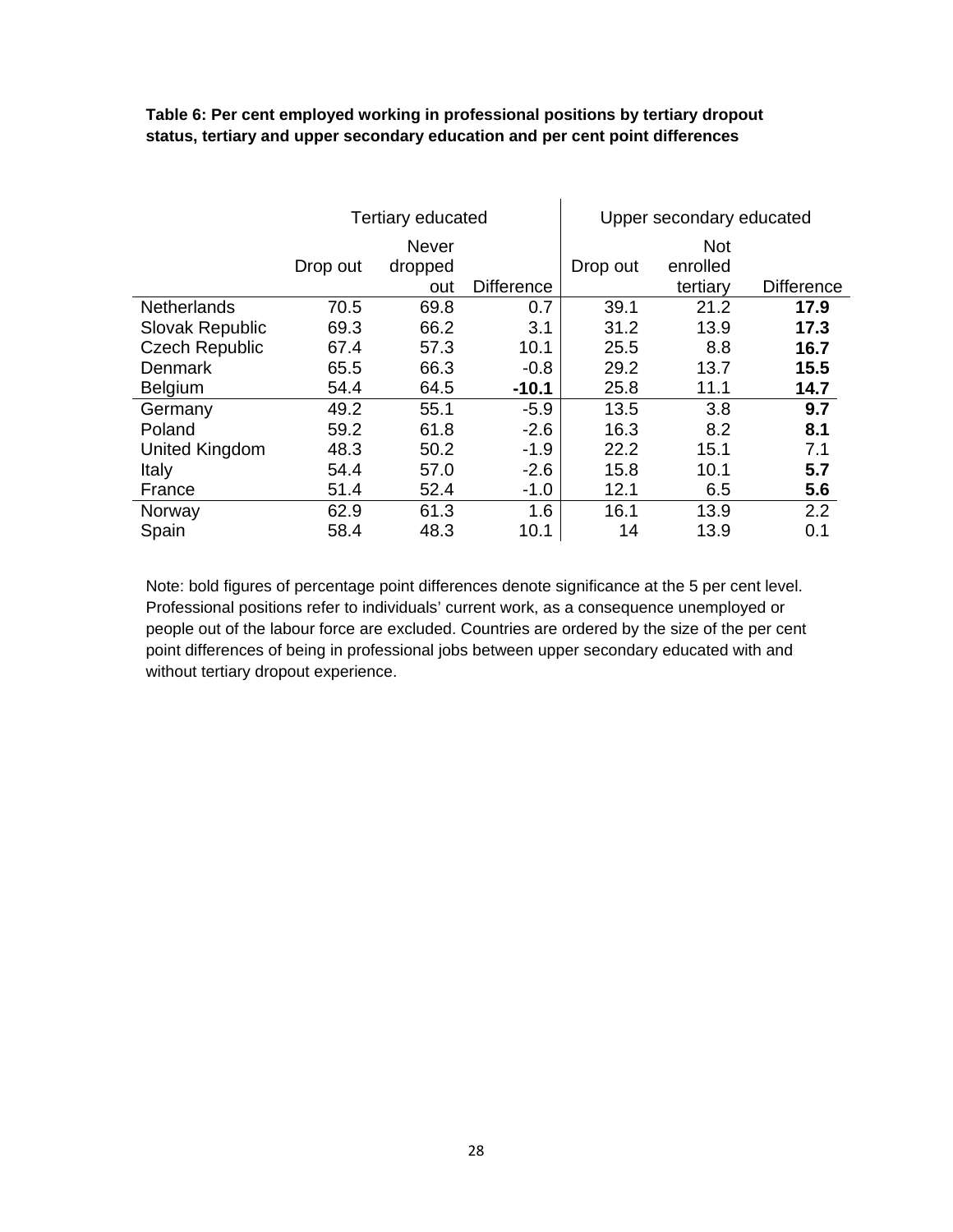#### **Table 6: Per cent employed working in professional positions by tertiary dropout status, tertiary and upper secondary education and per cent point differences**

|                        | <b>Tertiary educated</b> |                         |                   | Upper secondary educated |                        |                   |
|------------------------|--------------------------|-------------------------|-------------------|--------------------------|------------------------|-------------------|
|                        | Drop out                 | <b>Never</b><br>dropped |                   | Drop out                 | <b>Not</b><br>enrolled |                   |
|                        |                          | out                     | <b>Difference</b> |                          | tertiary               | <b>Difference</b> |
| <b>Netherlands</b>     | 70.5                     | 69.8                    | 0.7               | 39.1                     | 21.2                   | 17.9              |
| <b>Slovak Republic</b> | 69.3                     | 66.2                    | 3.1               | 31.2                     | 13.9                   | 17.3              |
| <b>Czech Republic</b>  | 67.4                     | 57.3                    | 10.1              | 25.5                     | 8.8                    | 16.7              |
| <b>Denmark</b>         | 65.5                     | 66.3                    | $-0.8$            | 29.2                     | 13.7                   | 15.5              |
| Belgium                | 54.4                     | 64.5                    | $-10.1$           | 25.8                     | 11.1                   | 14.7              |
| Germany                | 49.2                     | 55.1                    | $-5.9$            | 13.5                     | 3.8                    | 9.7               |
| Poland                 | 59.2                     | 61.8                    | $-2.6$            | 16.3                     | 8.2                    | 8.1               |
| <b>United Kingdom</b>  | 48.3                     | 50.2                    | $-1.9$            | 22.2                     | 15.1                   | 7.1               |
| Italy                  | 54.4                     | 57.0                    | $-2.6$            | 15.8                     | 10.1                   | 5.7               |
| France                 | 51.4                     | 52.4                    | $-1.0$            | 12.1                     | 6.5                    | 5.6               |
| Norway                 | 62.9                     | 61.3                    | 1.6               | 16.1                     | 13.9                   | 2.2               |
| Spain                  | 58.4                     | 48.3                    | 10.1              | 14                       | 13.9                   | 0.1               |

Note: bold figures of percentage point differences denote significance at the 5 per cent level. Professional positions refer to individuals' current work, as a consequence unemployed or people out of the labour force are excluded. Countries are ordered by the size of the per cent point differences of being in professional jobs between upper secondary educated with and without tertiary dropout experience.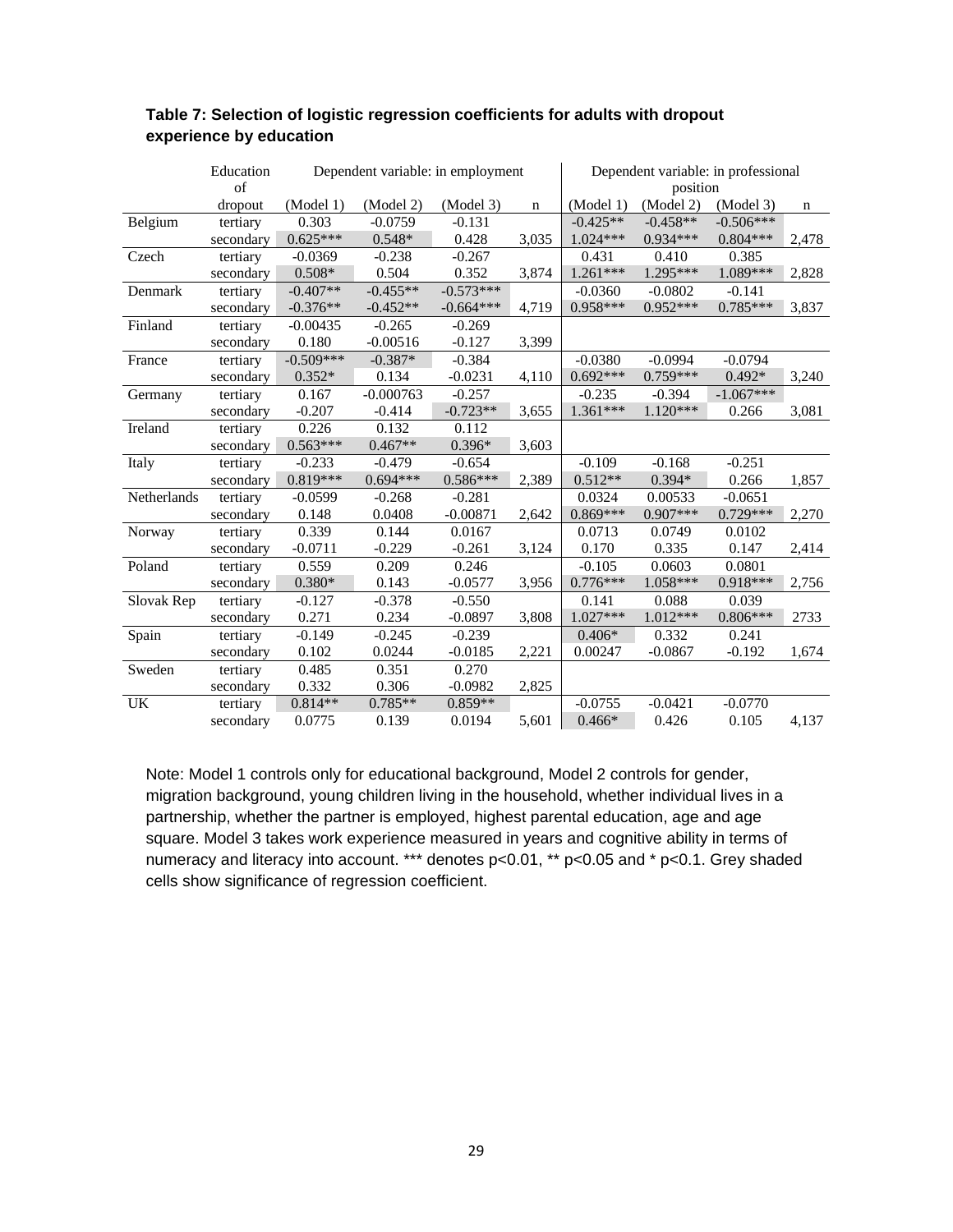|             | Education |             | Dependent variable: in employment |             |             |            | Dependent variable: in professional |             |             |
|-------------|-----------|-------------|-----------------------------------|-------------|-------------|------------|-------------------------------------|-------------|-------------|
|             | of        |             |                                   |             |             | position   |                                     |             |             |
|             | dropout   | (Model 1)   | (Model 2)                         | (Model 3)   | $\mathbf n$ | (Model 1)  | (Model 2)                           | (Model 3)   | $\mathbf n$ |
| Belgium     | tertiary  | 0.303       | $-0.0759$                         | $-0.131$    |             | $-0.425**$ | $-0.458**$                          | $-0.506***$ |             |
|             | secondary | $0.625***$  | $0.548*$                          | 0.428       | 3,035       | 1.024***   | 0.934***                            | $0.804***$  | 2,478       |
| Czech       | tertiary  | $-0.0369$   | $-0.238$                          | $-0.267$    |             | 0.431      | 0.410                               | 0.385       |             |
|             | secondary | $0.508*$    | 0.504                             | 0.352       | 3,874       | 1.261***   | 1.295***                            | 1.089***    | 2,828       |
| Denmark     | tertiary  | $-0.407**$  | $-0.455**$                        | $-0.573***$ |             | $-0.0360$  | $-0.0802$                           | $-0.141$    |             |
|             | secondary | $-0.376**$  | $-0.452**$                        | $-0.664***$ | 4,719       | $0.958***$ | $0.952***$                          | $0.785***$  | 3,837       |
| Finland     | tertiary  | $-0.00435$  | $-0.265$                          | $-0.269$    |             |            |                                     |             |             |
|             | secondary | 0.180       | $-0.00516$                        | $-0.127$    | 3,399       |            |                                     |             |             |
| France      | tertiary  | $-0.509***$ | $-0.387*$                         | $-0.384$    |             | $-0.0380$  | $-0.0994$                           | $-0.0794$   |             |
|             | secondary | $0.352*$    | 0.134                             | $-0.0231$   | 4,110       | $0.692***$ | $0.759***$                          | $0.492*$    | 3,240       |
| Germany     | tertiary  | 0.167       | $-0.000763$                       | $-0.257$    |             | $-0.235$   | $-0.394$                            | $-1.067***$ |             |
|             | secondary | $-0.207$    | $-0.414$                          | $-0.723**$  | 3,655       | 1.361***   | $1.120***$                          | 0.266       | 3,081       |
| Ireland     | tertiary  | 0.226       | 0.132                             | 0.112       |             |            |                                     |             |             |
|             | secondary | $0.563***$  | $0.467**$                         | $0.396*$    | 3,603       |            |                                     |             |             |
| Italy       | tertiary  | $-0.233$    | $-0.479$                          | $-0.654$    |             | $-0.109$   | $-0.168$                            | $-0.251$    |             |
|             | secondary | 0.819***    | $0.694***$                        | $0.586***$  | 2,389       | $0.512**$  | $0.394*$                            | 0.266       | 1,857       |
| Netherlands | tertiary  | $-0.0599$   | $-0.268$                          | $-0.281$    |             | 0.0324     | 0.00533                             | $-0.0651$   |             |
|             | secondary | 0.148       | 0.0408                            | $-0.00871$  | 2,642       | $0.869***$ | $0.907***$                          | $0.729***$  | 2,270       |
| Norway      | tertiary  | 0.339       | 0.144                             | 0.0167      |             | 0.0713     | 0.0749                              | 0.0102      |             |
|             | secondary | $-0.0711$   | $-0.229$                          | $-0.261$    | 3,124       | 0.170      | 0.335                               | 0.147       | 2,414       |
| Poland      | tertiary  | 0.559       | 0.209                             | 0.246       |             | $-0.105$   | 0.0603                              | 0.0801      |             |
|             | secondary | $0.380*$    | 0.143                             | $-0.0577$   | 3,956       | $0.776***$ | 1.058***                            | $0.918***$  | 2,756       |
| Slovak Rep  | tertiary  | $-0.127$    | $-0.378$                          | $-0.550$    |             | 0.141      | 0.088                               | 0.039       |             |
|             | secondary | 0.271       | 0.234                             | $-0.0897$   | 3,808       | $1.027***$ | $1.012***$                          | $0.806***$  | 2733        |
| Spain       | tertiary  | $-0.149$    | $-0.245$                          | $-0.239$    |             | $0.406*$   | 0.332                               | 0.241       |             |
|             | secondary | 0.102       | 0.0244                            | $-0.0185$   | 2,221       | 0.00247    | $-0.0867$                           | $-0.192$    | 1,674       |
| Sweden      | tertiary  | 0.485       | 0.351                             | 0.270       |             |            |                                     |             |             |
|             | secondary | 0.332       | 0.306                             | $-0.0982$   | 2,825       |            |                                     |             |             |
| UK          | tertiary  | $0.814**$   | $0.785**$                         | $0.859**$   |             | $-0.0755$  | $-0.0421$                           | $-0.0770$   |             |
|             | secondary | 0.0775      | 0.139                             | 0.0194      | 5,601       | $0.466*$   | 0.426                               | 0.105       | 4,137       |

#### **Table 7: Selection of logistic regression coefficients for adults with dropout experience by education**

Note: Model 1 controls only for educational background, Model 2 controls for gender, migration background, young children living in the household, whether individual lives in a partnership, whether the partner is employed, highest parental education, age and age square. Model 3 takes work experience measured in years and cognitive ability in terms of numeracy and literacy into account. \*\*\* denotes p<0.01, \*\* p<0.05 and \* p<0.1. Grey shaded cells show significance of regression coefficient.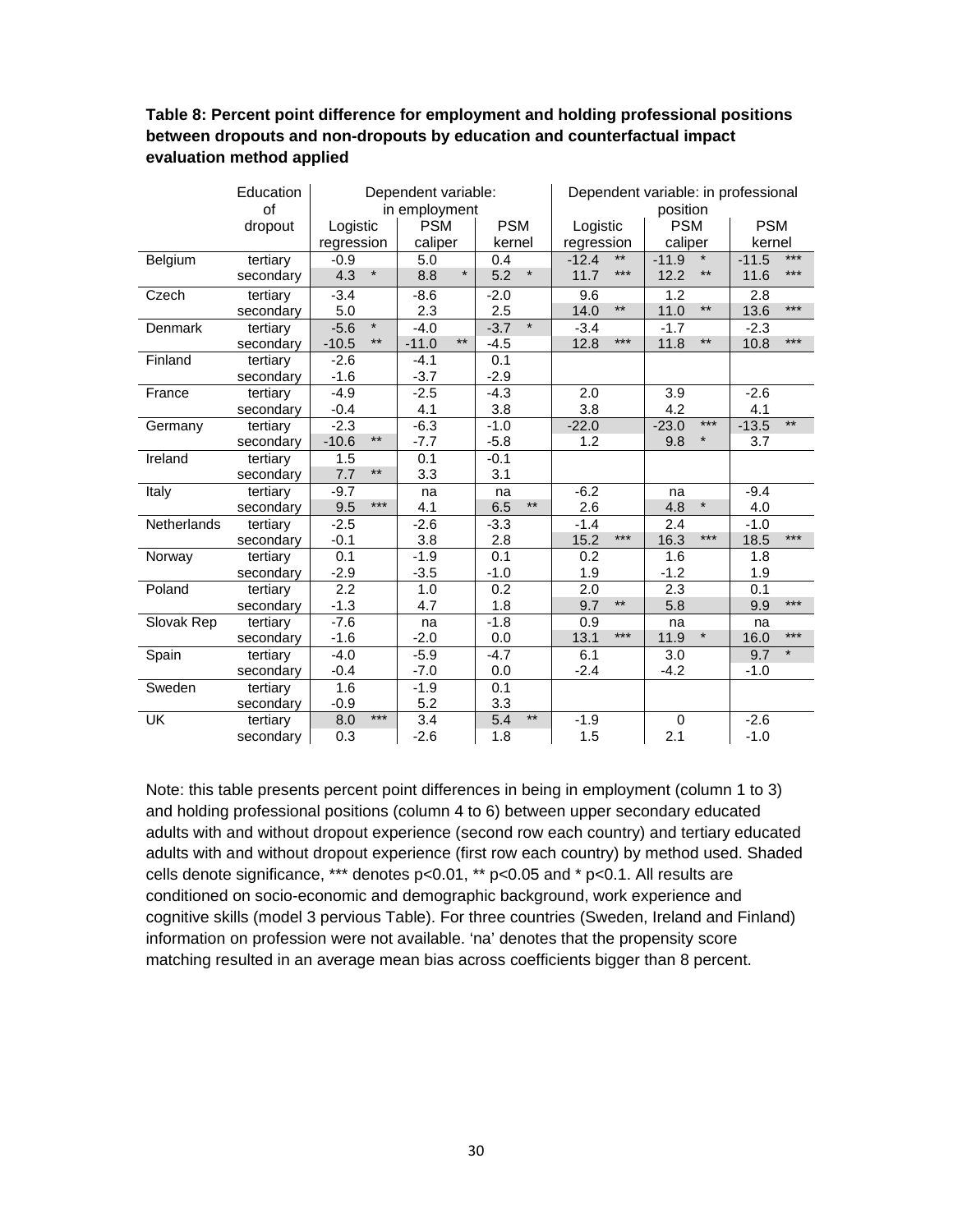#### **Table 8: Percent point difference for employment and holding professional positions between dropouts and non-dropouts by education and counterfactual impact evaluation method applied**

|                    | Education<br>of |                         | Dependent variable:<br>in employment |                     |                  | Dependent variable: in professional<br>position |                 |  |
|--------------------|-----------------|-------------------------|--------------------------------------|---------------------|------------------|-------------------------------------------------|-----------------|--|
|                    | dropout         | Logistic                | <b>PSM</b>                           | <b>PSM</b>          | Logistic         | <b>PSM</b>                                      | <b>PSM</b>      |  |
|                    |                 | regression              | caliper                              | kernel              | regression       | caliper                                         | kernel          |  |
| Belgium            | tertiary        | $-0.9$                  | 5.0                                  | 0.4                 | $***$<br>$-12.4$ | $^{\star}$<br>$-11.9$                           | ***<br>$-11.5$  |  |
|                    | secondary       | $\star$<br>4.3          | $\star$<br>8.8                       | 5.2<br>$\star$      | $***$<br>11.7    | 12.2<br>$\star\star$                            | $***$<br>11.6   |  |
| Czech              | tertiary        | $-3.4$                  | $-8.6$                               | $-2.0$              | 9.6              | 1.2                                             | 2.8             |  |
|                    | secondary       | 5.0                     | 2.3                                  | 2.5                 | $***$<br>14.0    | $***$<br>11.0                                   | $***$<br>13.6   |  |
| Denmark            | tertiary        | $\star$<br>$-5.6$       | $-4.0$                               | $\star$<br>$-3.7$   | $-3.4$           | $-1.7$                                          | $-2.3$          |  |
|                    | secondary       | $\star\star$<br>$-10.5$ | $***$<br>$-11.0$                     | $-4.5$              | 12.8<br>$***$    | 11.8<br>$***$                                   | $***$<br>10.8   |  |
| Finland            | tertiary        | $-2.6$                  | $-4.1$                               | 0.1                 |                  |                                                 |                 |  |
|                    | secondary       | $-1.6$                  | $-3.7$                               | $-2.9$              |                  |                                                 |                 |  |
| France             | tertiary        | $-4.9$                  | $-2.5$                               | $-4.3$              | 2.0              | 3.9                                             | $-2.6$          |  |
|                    | secondary       | $-0.4$                  | 4.1                                  | 3.8                 | 3.8              | 4.2                                             | 4.1             |  |
| Germany            | tertiary        | $-2.3$                  | $-6.3$                               | $-1.0$              | $-22.0$          | $***$<br>$-23.0$                                | $**$<br>$-13.5$ |  |
|                    | secondary       | $\star\star$<br>$-10.6$ | $-7.7$                               | $-5.8$              | 1.2              | $\star$<br>9.8                                  | 3.7             |  |
| Ireland            | tertiary        | 1.5                     | 0.1                                  | $-0.1$              |                  |                                                 |                 |  |
|                    | secondary       | $***$<br>7.7            | 3.3                                  | 3.1                 |                  |                                                 |                 |  |
| Italy              | tertiary        | $-9.7$                  | na                                   | na                  | $-6.2$           | na                                              | $-9.4$          |  |
|                    | secondary       | ***<br>9.5              | 4.1                                  | $***$<br>6.5        | 2.6              | $\star$<br>4.8                                  | 4.0             |  |
| <b>Netherlands</b> | tertiary        | $-2.5$                  | $-2.6$                               | $-3.3$              | $-1.4$           | 2.4                                             | $-1.0$          |  |
|                    | secondary       | $-0.1$                  | 3.8                                  | 2.8                 | 15.2<br>$***$    | 16.3<br>$***$                                   | $***$<br>18.5   |  |
| Norway             | tertiary        | 0.1                     | $-1.9$                               | 0.1                 | 0.2              | 1.6                                             | 1.8             |  |
|                    | secondary       | $-2.9$                  | $-3.5$                               | $-1.0$              | 1.9              | $-1.2$                                          | 1.9             |  |
| Poland             | tertiary        | 2.2                     | 1.0                                  | 0.2                 | 2.0              | 2.3                                             | 0.1             |  |
|                    | secondary       | $-1.3$                  | 4.7                                  | 1.8                 | $***$<br>9.7     | 5.8                                             | $***$<br>9.9    |  |
| Slovak Rep         | tertiary        | $-7.6$                  | na                                   | $-1.8$              | 0.9              | na                                              | na              |  |
|                    | secondary       | $-1.6$                  | $-2.0$                               | 0.0                 | $***$<br>13.1    | 11.9<br>$\star$                                 | $***$<br>16.0   |  |
| Spain              | tertiary        | $-4.0$                  | $-5.9$                               | $-4.7$              | 6.1              | 3.0                                             | $\star$<br>9.7  |  |
|                    | secondary       | $-0.4$                  | $-7.0$                               | 0.0                 | $-2.4$           | $-4.2$                                          | $-1.0$          |  |
| Sweden             | tertiary        | 1.6                     | $-1.9$                               | 0.1                 |                  |                                                 |                 |  |
|                    | secondary       | $-0.9$                  | 5.2                                  | 3.3                 |                  |                                                 |                 |  |
| UK                 | tertiary        | $***$<br>8.0            | 3.4                                  | $\star\star$<br>5.4 | $-1.9$           | $\pmb{0}$                                       | $-2.6$          |  |
|                    | secondary       | 0.3                     | $-2.6$                               | 1.8                 | 1.5              | 2.1                                             | $-1.0$          |  |

Note: this table presents percent point differences in being in employment (column 1 to 3) and holding professional positions (column 4 to 6) between upper secondary educated adults with and without dropout experience (second row each country) and tertiary educated adults with and without dropout experience (first row each country) by method used. Shaded cells denote significance, \*\*\* denotes p<0.01, \*\* p<0.05 and \* p<0.1. All results are conditioned on socio-economic and demographic background, work experience and cognitive skills (model 3 pervious Table). For three countries (Sweden, Ireland and Finland) information on profession were not available. 'na' denotes that the propensity score matching resulted in an average mean bias across coefficients bigger than 8 percent.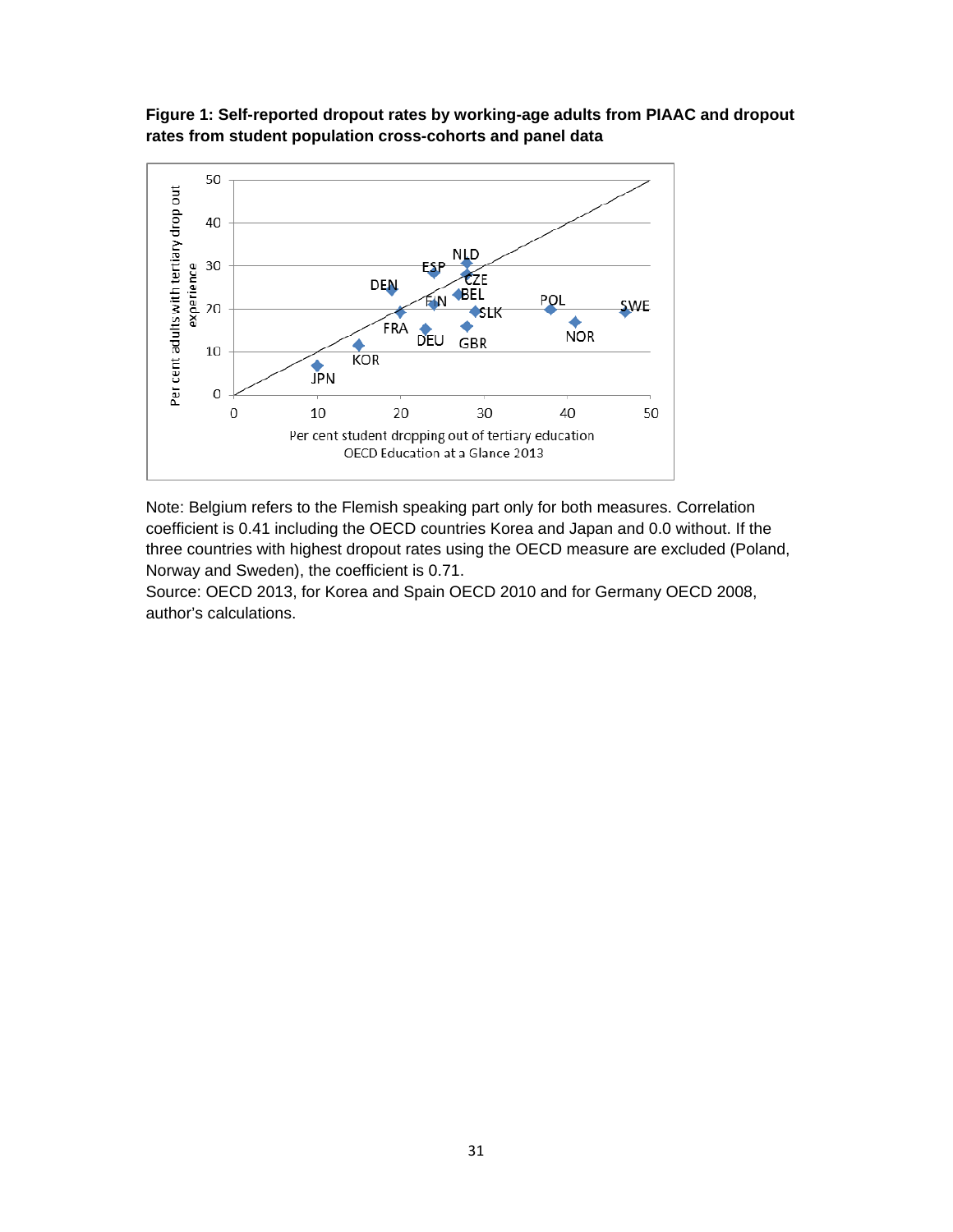

#### **Figure 1: Self-reported dropout rates by working-age adults from PIAAC and dropout rates from student population cross-cohorts and panel data**

Note: Belgium refers to the Flemish speaking part only for both measures. Correlation coefficient is 0.41 including the OECD countries Korea and Japan and 0.0 without. If the three countries with highest dropout rates using the OECD measure are excluded (Poland, Norway and Sweden), the coefficient is 0.71.

Source: OECD 2013, for Korea and Spain OECD 2010 and for Germany OECD 2008, author's calculations.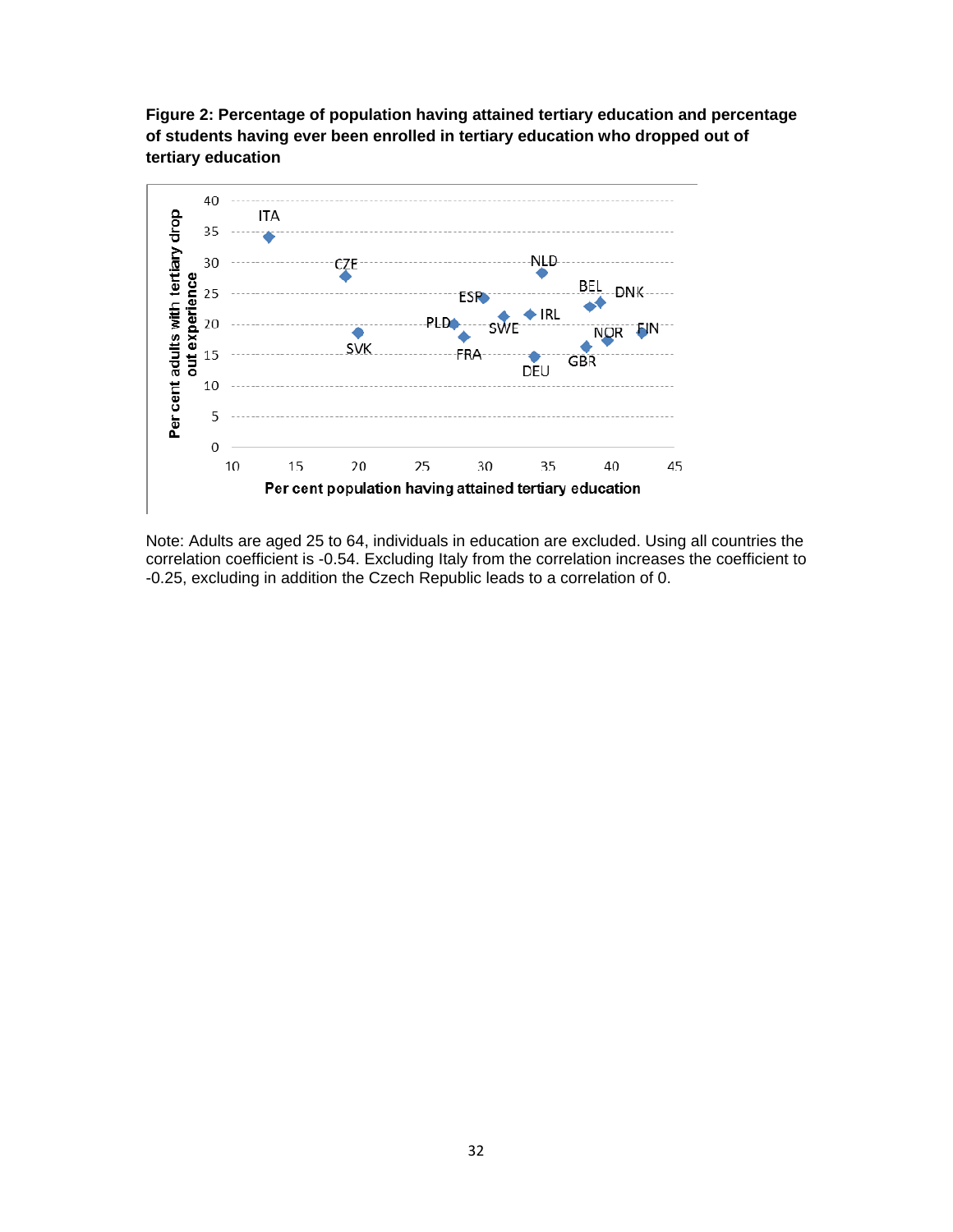



Note: Adults are aged 25 to 64, individuals in education are excluded. Using all countries the correlation coefficient is -0.54. Excluding Italy from the correlation increases the coefficient to -0.25, excluding in addition the Czech Republic leads to a correlation of 0.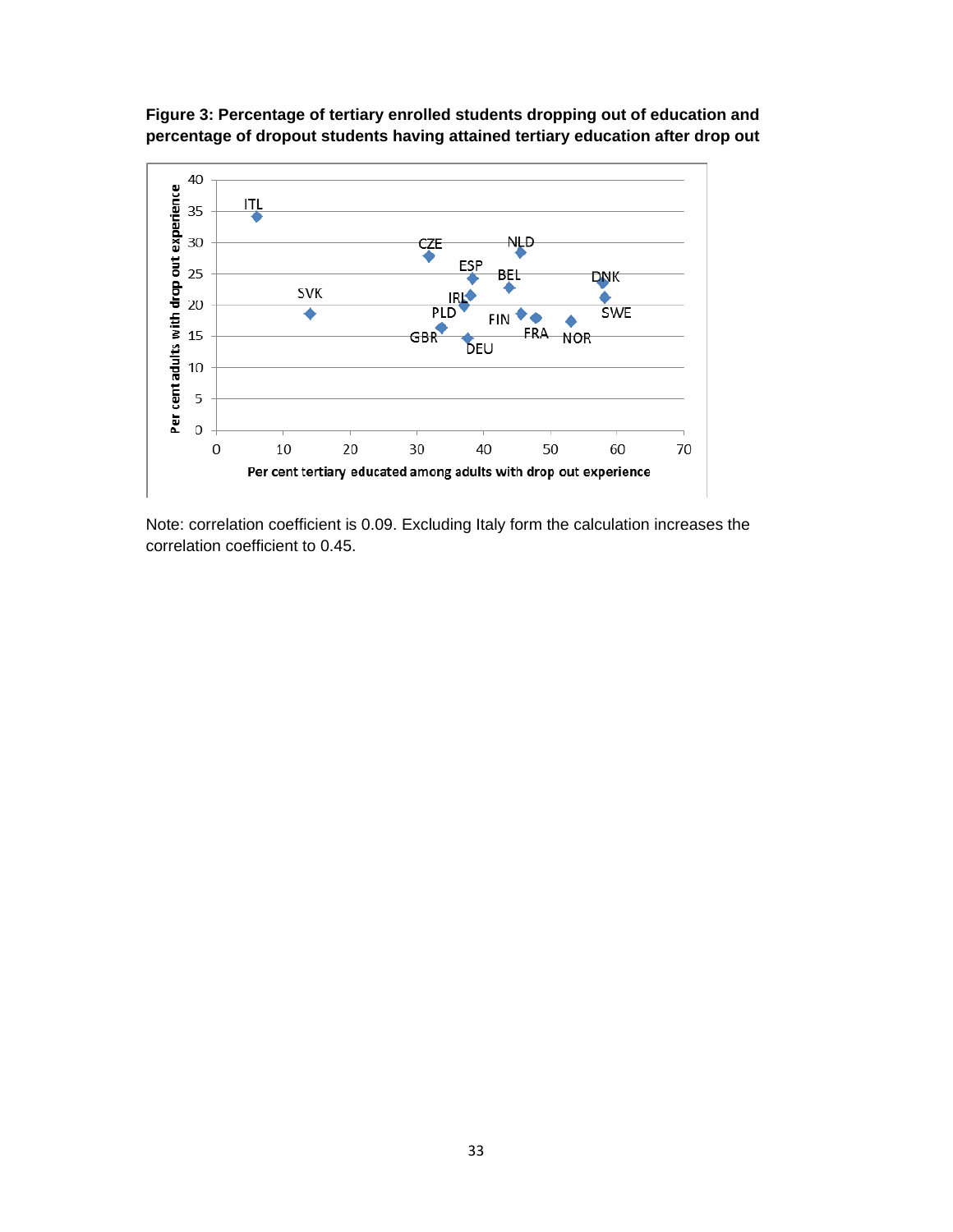

**Figure 3: Percentage of tertiary enrolled students dropping out of education and percentage of dropout students having attained tertiary education after drop out** 

Note: correlation coefficient is 0.09. Excluding Italy form the calculation increases the correlation coefficient to 0.45.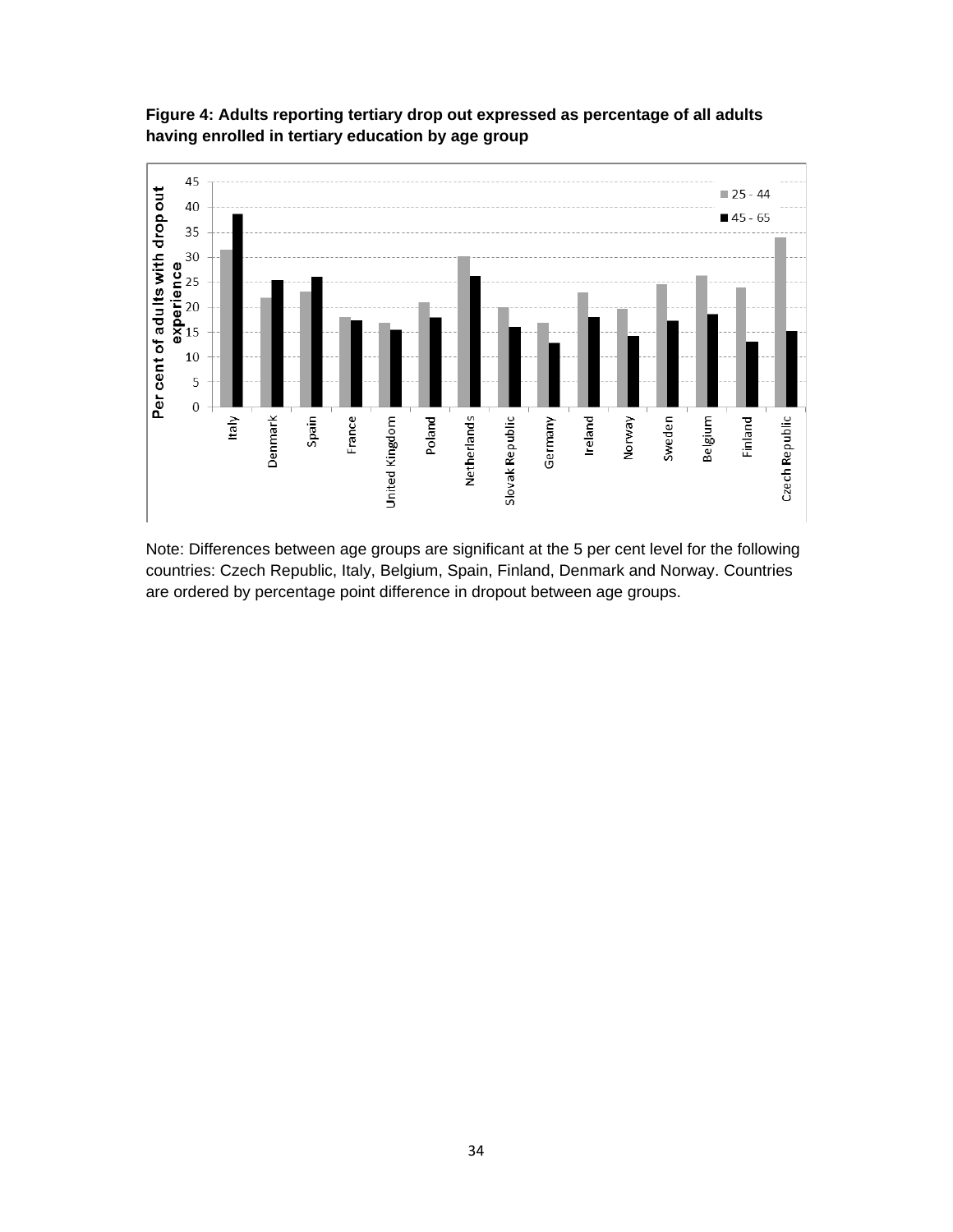

**Figure 4: Adults reporting tertiary drop out expressed as percentage of all adults having enrolled in tertiary education by age group** 

Note: Differences between age groups are significant at the 5 per cent level for the following countries: Czech Republic, Italy, Belgium, Spain, Finland, Denmark and Norway. Countries are ordered by percentage point difference in dropout between age groups.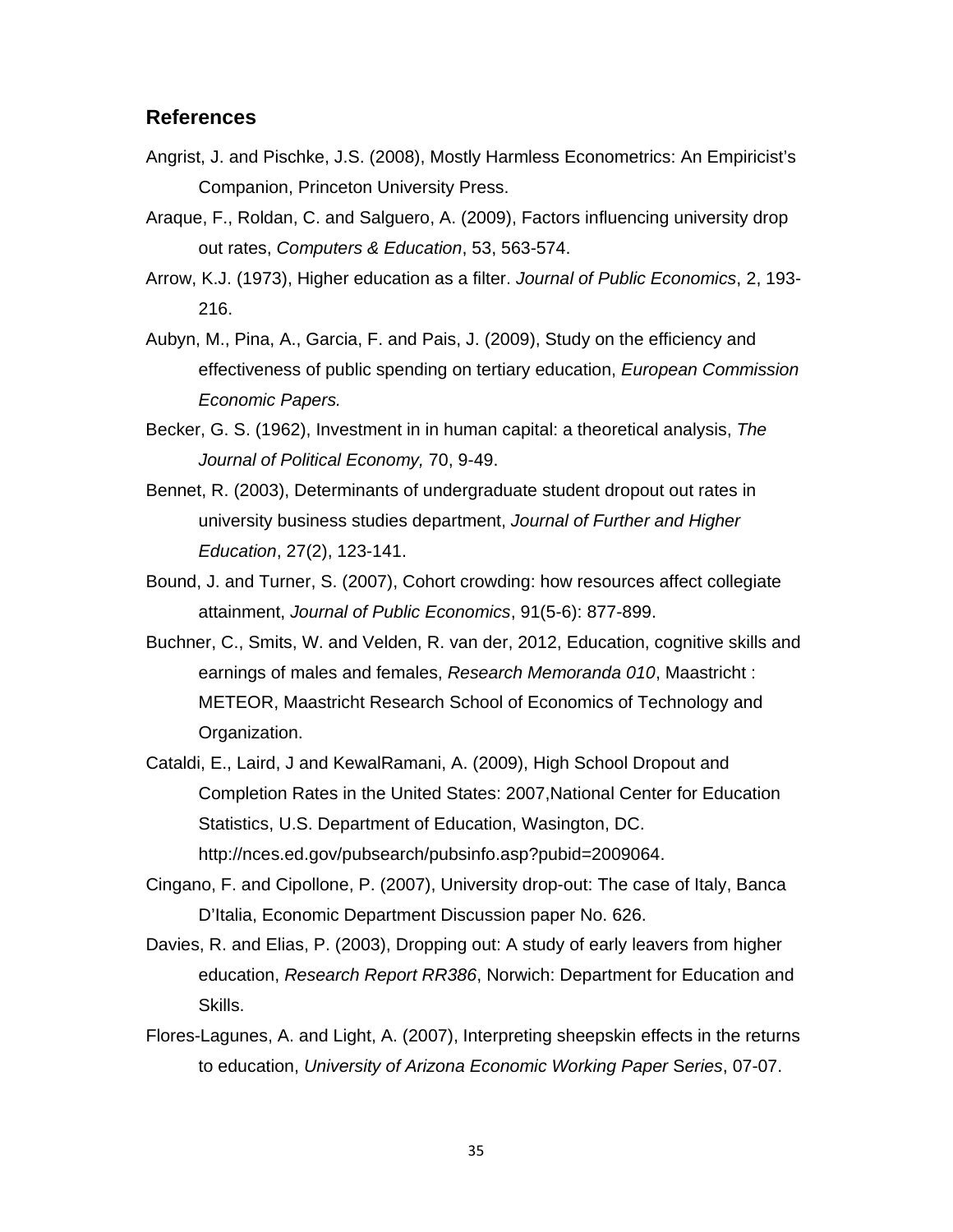#### **References**

- Angrist, J. and Pischke, J.S. (2008), Mostly Harmless Econometrics: An Empiricist's Companion, Princeton University Press.
- Araque, F., Roldan, C. and Salguero, A. (2009), Factors influencing university drop out rates, *Computers & Education*, 53, 563-574.
- Arrow, K.J. (1973), Higher education as a filter. *Journal of Public Economics*, 2, 193- 216.
- Aubyn, M., Pina, A., Garcia, F. and Pais, J. (2009), Study on the efficiency and effectiveness of public spending on tertiary education, *European Commission Economic Papers.*
- Becker, G. S. (1962), Investment in in human capital: a theoretical analysis, *The Journal of Political Economy,* 70, 9-49.
- Bennet, R. (2003), Determinants of undergraduate student dropout out rates in university business studies department, *Journal of Further and Higher Education*, 27(2), 123-141.
- Bound, J. and Turner, S. (2007), Cohort crowding: how resources affect collegiate attainment, *Journal of Public Economics*, 91(5-6): 877-899.
- Buchner, C., Smits, W. and Velden, R. van der, 2012, Education, cognitive skills and earnings of males and females, *Research Memoranda 010*, Maastricht : METEOR, Maastricht Research School of Economics of Technology and Organization.
- Cataldi, E., Laird, J and KewalRamani, A. (2009), High School Dropout and Completion Rates in the United States: 2007,National Center for Education Statistics, U.S. Department of Education, Wasington, DC. http://nces.ed.gov/pubsearch/pubsinfo.asp?pubid=2009064.
- Cingano, F. and Cipollone, P. (2007), University drop-out: The case of Italy, Banca D'Italia, Economic Department Discussion paper No. 626.
- Davies, R. and Elias, P. (2003), Dropping out: A study of early leavers from higher education, *Research Report RR386*, Norwich: Department for Education and Skills.
- Flores-Lagunes, A. and Light, A. (2007), Interpreting sheepskin effects in the returns to education, *University of Arizona Economic Working Paper* S*eries*, 07-07.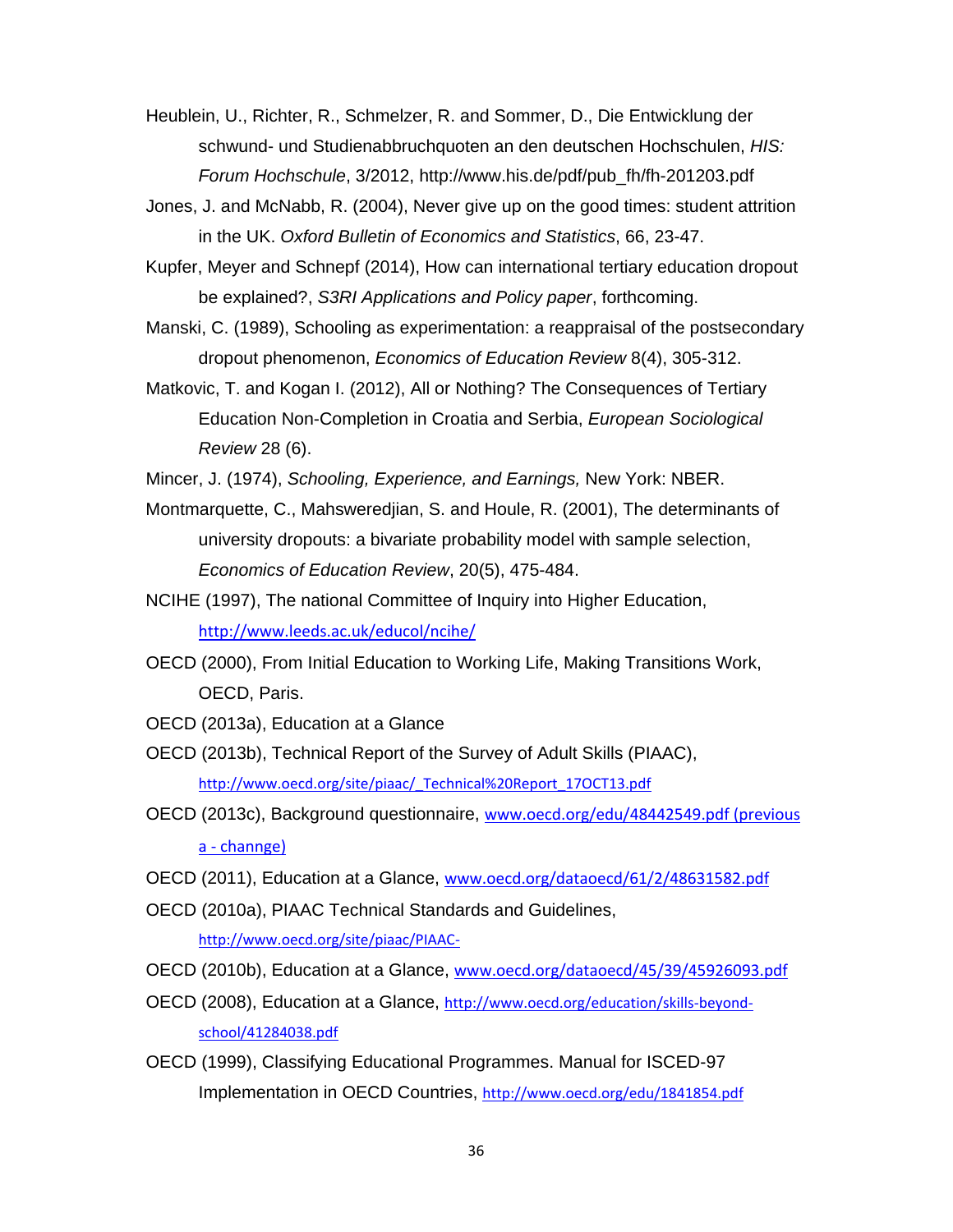Heublein, U., Richter, R., Schmelzer, R. and Sommer, D., Die Entwicklung der schwund- und Studienabbruchquoten an den deutschen Hochschulen, *HIS: Forum Hochschule*, 3/2012, http://www.his.de/pdf/pub\_fh/fh-201203.pdf

Jones, J. and McNabb, R. (2004), Never give up on the good times: student attrition in the UK. *Oxford Bulletin of Economics and Statistics*, 66, 23-47.

Kupfer, Meyer and Schnepf (2014), How can international tertiary education dropout be explained?, *S3RI Applications and Policy paper*, forthcoming.

Manski, C. (1989), Schooling as experimentation: a reappraisal of the postsecondary dropout phenomenon, *Economics of Education Review* 8(4), 305-312.

Matkovic, T. and Kogan I. (2012), All or Nothing? The Consequences of Tertiary Education Non-Completion in Croatia and Serbia, *European Sociological Review* 28 (6).

Mincer, J. (1974), *Schooling, Experience, and Earnings,* New York: NBER.

Montmarquette, C., Mahsweredjian, S. and Houle, R. (2001), The determinants of university dropouts: a bivariate probability model with sample selection, *Economics of Education Review*, 20(5), 475-484.

NCIHE (1997), The national Committee of Inquiry into Higher Education, http://www.leeds.ac.uk/educol/ncihe/

OECD (2000), From Initial Education to Working Life, Making Transitions Work, OECD, Paris.

OECD (2013a), Education at a Glance

OECD (2013b), Technical Report of the Survey of Adult Skills (PIAAC), http://www.oecd.org/site/piaac/\_Technical%20Report\_17OCT13.pdf

OECD (2013c), Background questionnaire, www.oecd.org/edu/48442549.pdf (previous a ‐ channge)

OECD (2011), Education at a Glance, www.oecd.org/dataoecd/61/2/48631582.pdf

OECD (2010a), PIAAC Technical Standards and Guidelines,

http://www.oecd.org/site/piaac/PIAAC‐

OECD (2010b), Education at a Glance, www.oecd.org/dataoecd/45/39/45926093.pdf

OECD (2008), Education at a Glance, http://www.oecd.org/education/skills‐beyond‐ school/41284038.pdf

OECD (1999), Classifying Educational Programmes. Manual for ISCED-97 Implementation in OECD Countries, http://www.oecd.org/edu/1841854.pdf